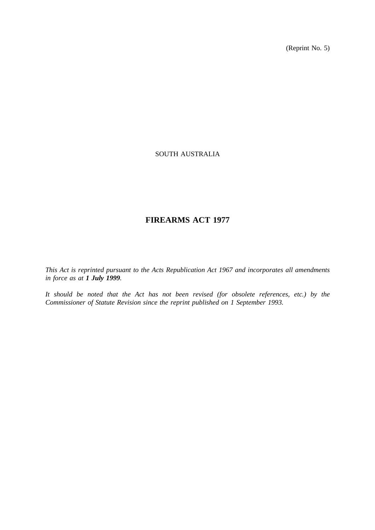(Reprint No. 5)

## SOUTH AUSTRALIA

# **FIREARMS ACT 1977**

*This Act is reprinted pursuant to the Acts Republication Act 1967 and incorporates all amendments in force as at 1 July 1999.*

*It should be noted that the Act has not been revised (for obsolete references, etc.) by the Commissioner of Statute Revision since the reprint published on 1 September 1993.*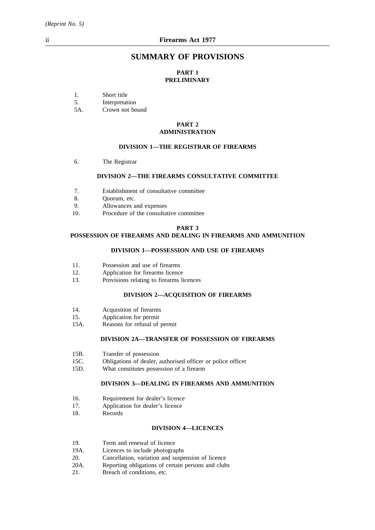## **SUMMARY OF PROVISIONS**

## **PART 1 PRELIMINARY**

1. Short title

5. Interpretation

5A. Crown not bound

#### **PART 2 ADMINISTRATION**

#### **DIVISION 1—THE REGISTRAR OF FIREARMS**

6. The Registrar

## **DIVISION 2—THE FIREARMS CONSULTATIVE COMMITTEE**

- 7. Establishment of consultative committee
- 8. Quorum, etc.
- 9. Allowances and expenses
- 10. Procedure of the consultative committee

#### **PART 3**

## **POSSESSION OF FIREARMS AND DEALING IN FIREARMS AND AMMUNITION**

#### **DIVISION 1—POSSESSION AND USE OF FIREARMS**

- 11. Possession and use of firearms
- 12. Application for firearms licence
- 13. Provisions relating to firearms licences

## **DIVISION 2—ACQUISITION OF FIREARMS**

- 14. Acquisition of firearms
- 15. Application for permit
- 15A. Reasons for refusal of permit

## **DIVISION 2A—TRANSFER OF POSSESSION OF FIREARMS**

- 15B. Transfer of possession<br>15C. Obligations of dealer,
- Obligations of dealer, authorised officer or police officer
- 15D. What constitutes possession of a firearm

#### **DIVISION 3—DEALING IN FIREARMS AND AMMUNITION**

- 16. Requirement for dealer's licence
- 17. Application for dealer's licence
- 18. Records

#### **DIVISION 4—LICENCES**

- 19. Term and renewal of licence
- 19A. Licences to include photographs
- 20. Cancellation, variation and suspension of licence
- 20A. Reporting obligations of certain persons and clubs
- 21. Breach of conditions, etc.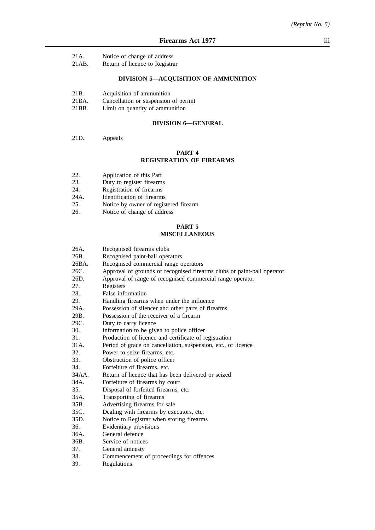- 21A. Notice of change of address
- 21AB. Return of licence to Registrar

## **DIVISION 5—ACQUISITION OF AMMUNITION**

- 21B. Acquisition of ammunition
- 21BA. Cancellation or suspension of permit<br>21BB. Limit on quantity of ammunition
- Limit on quantity of ammunition

## **DIVISION 6—GENERAL**

21D. Appeals

## **PART 4 REGISTRATION OF FIREARMS**

- 22. Application of this Part
- 23. Duty to register firearms<br>24. Registration of firearms
- 24. Registration of firearms<br>24A. Identification of firearms
- 
- 24A. Identification of firearms<br>25. Notice by owner of regist Notice by owner of registered firearm
- 26. Notice of change of address

## **PART 5**

## **MISCELLANEOUS**

| 26A.  | Recognised firearms clubs                                               |
|-------|-------------------------------------------------------------------------|
| 26B.  | Recognised paint-ball operators                                         |
| 26BA. | Recognised commercial range operators                                   |
| 26C.  | Approval of grounds of recognised firearms clubs or paint-ball operator |
| 26D.  | Approval of range of recognised commercial range operator               |
| 27.   | Registers                                                               |
| 28.   | False information                                                       |
| 29.   | Handling firearms when under the influence                              |
| 29A.  | Possession of silencer and other parts of firearms                      |
| 29B.  | Possession of the receiver of a firearm                                 |
| 29C.  | Duty to carry licence                                                   |
| 30.   | Information to be given to police officer                               |
| 31.   | Production of licence and certificate of registration                   |
| 31A.  | Period of grace on cancellation, suspension, etc., of licence           |
| 32.   | Power to seize firearms, etc.                                           |
| 33.   | Obstruction of police officer                                           |
| 34.   | Forfeiture of firearms, etc.                                            |
| 34AA. | Return of licence that has been delivered or seized                     |
| 34A.  | Forfeiture of firearms by court                                         |
| 35.   | Disposal of forfeited firearms, etc.                                    |
| 35A.  | Transporting of firearms                                                |
| 35B.  | Advertising firearms for sale                                           |
| 35C.  | Dealing with firearms by executors, etc.                                |
| 35D.  | Notice to Registrar when storing firearms                               |
| 36.   | Evidentiary provisions                                                  |
| 36A.  | General defence                                                         |
| 36B.  | Service of notices                                                      |
| 37.   | General amnesty                                                         |
| 38.   | Commencement of proceedings for offences                                |
| 39.   | Regulations                                                             |
|       |                                                                         |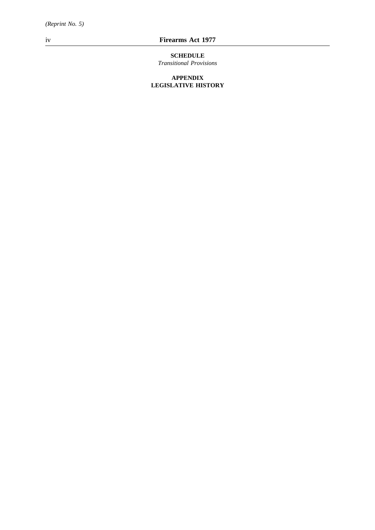## iv **Firearms Act 1977**

# **SCHEDULE**

*Transitional Provisions*

## **APPENDIX LEGISLATIVE HISTORY**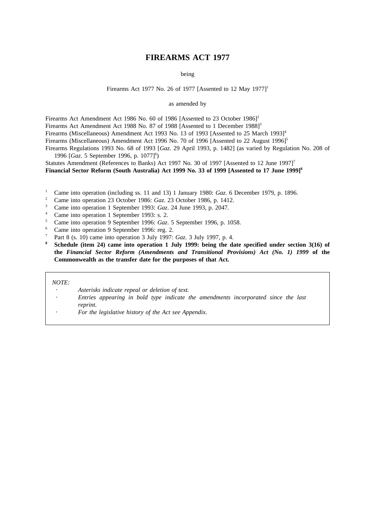## **FIREARMS ACT 1977**

being

#### Firearms Act 1977 No. 26 of 1977 [Assented to 12 May 1977]<sup>1</sup>

as amended by

Firearms Act Amendment Act 1986 No. 60 of 1986 [Assented to 23 October 1986]<sup>2</sup>

Firearms Act Amendment Act 1988 No. 87 of 1988 [Assented to 1 December 1988]<sup>3</sup>

Firearms (Miscellaneous) Amendment Act 1993 No. 13 of 1993 [Assented to 25 March 1993]<sup>4</sup>

Firearms (Miscellaneous) Amendment Act 1996 No. 70 of 1996 [Assented to 22 August 1996]<sup>5</sup>

Firearms Regulations 1993 No. 68 of 1993 [*Gaz*. 29 April 1993, p. 1482] (as varied by Regulation No. 208 of 1996 [Gaz. 5 September 1996, p. 1077]<sup>6</sup>)

Statutes Amendment (References to Banks) Act 1997 No. 30 of 1997 [Assented to 12 June 1997]<sup>7</sup>

**Financial Sector Reform (South Australia) Act 1999 No. 33 of 1999 [Assented to 17 June 1999]8**

- <sup>1</sup> Came into operation (including ss. 11 and 13) 1 January 1980: *Gaz*. 6 December 1979, p. 1896.
- <sup>2</sup> Came into operation 23 October 1986: *Gaz*. 23 October 1986, p. 1412.
- <sup>3</sup> Came into operation 1 September 1993: *Gaz*. 24 June 1993, p. 2047.
- <sup>4</sup> Came into operation 1 September 1993: s. 2.
- <sup>5</sup> Came into operation 9 September 1996: *Gaz*. 5 September 1996, p. 1058.
- <sup>6</sup> Came into operation 9 September 1996: reg. 2.
- <sup>7</sup> Part 8 (s. 10) came into operation 3 July 1997: *Gaz*. 3 July 1997, p. 4.
- **<sup>8</sup> Schedule (item 24) came into operation 1 July 1999: being the date specified under section 3(16) of the** *Financial Sector Reform (Amendments and Transitional Provisions) Act (No. 1) 1999* **of the Commonwealth as the transfer date for the purposes of that Act.**

#### *NOTE:*

- *Asterisks indicate repeal or deletion of text.*
- *Entries appearing in bold type indicate the amendments incorporated since the last reprint.*
- *For the legislative history of the Act see Appendix.*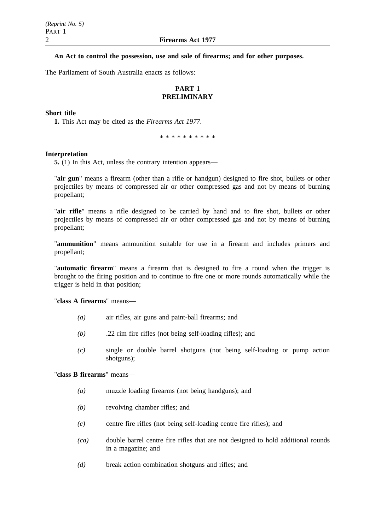## **An Act to control the possession, use and sale of firearms; and for other purposes.**

The Parliament of South Australia enacts as follows:

## **PART 1 PRELIMINARY**

## **Short title**

**1.** This Act may be cited as the *Firearms Act 1977*.

\*\*\*\*\*\*\*\*\*\*

#### **Interpretation**

**5.** (1) In this Act, unless the contrary intention appears—

"**air gun**" means a firearm (other than a rifle or handgun) designed to fire shot, bullets or other projectiles by means of compressed air or other compressed gas and not by means of burning propellant;

"**air rifle**" means a rifle designed to be carried by hand and to fire shot, bullets or other projectiles by means of compressed air or other compressed gas and not by means of burning propellant;

"**ammunition**" means ammunition suitable for use in a firearm and includes primers and propellant;

"**automatic firearm**" means a firearm that is designed to fire a round when the trigger is brought to the firing position and to continue to fire one or more rounds automatically while the trigger is held in that position;

"**class A firearms**" means—

- *(a)* air rifles, air guns and paint-ball firearms; and
- *(b)* .22 rim fire rifles (not being self-loading rifles); and
- *(c)* single or double barrel shotguns (not being self-loading or pump action shotguns);

#### "**class B firearms**" means—

- *(a)* muzzle loading firearms (not being handguns); and
- *(b)* revolving chamber rifles; and
- *(c)* centre fire rifles (not being self-loading centre fire rifles); and
- *(ca)* double barrel centre fire rifles that are not designed to hold additional rounds in a magazine; and
- *(d)* break action combination shotguns and rifles; and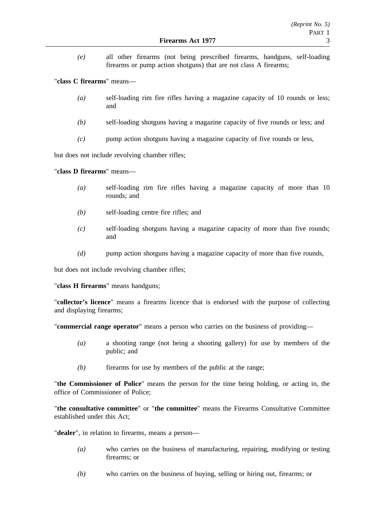*(e)* all other firearms (not being prescribed firearms, handguns, self-loading firearms or pump action shotguns) that are not class A firearms;

"**class C firearms**" means—

- *(a)* self-loading rim fire rifles having a magazine capacity of 10 rounds or less; and
- *(b)* self-loading shotguns having a magazine capacity of five rounds or less; and
- *(c)* pump action shotguns having a magazine capacity of five rounds or less,

but does not include revolving chamber rifles;

"**class D firearms**" means—

- *(a)* self-loading rim fire rifles having a magazine capacity of more than 10 rounds; and
- *(b)* self-loading centre fire rifles; and
- *(c)* self-loading shotguns having a magazine capacity of more than five rounds; and
- *(d)* pump action shotguns having a magazine capacity of more than five rounds,

but does not include revolving chamber rifles;

"**class H firearms**" means handguns;

"**collector's licence**" means a firearms licence that is endorsed with the purpose of collecting and displaying firearms;

"**commercial range operator**" means a person who carries on the business of providing—

- *(a)* a shooting range (not being a shooting gallery) for use by members of the public; and
- *(b)* firearms for use by members of the public at the range;

"**the Commissioner of Police**" means the person for the time being holding, or acting in, the office of Commissioner of Police;

"**the consultative committee**" or "**the committee**" means the Firearms Consultative Committee established under this Act;

"**dealer**", in relation to firearms, means a person—

- *(a)* who carries on the business of manufacturing, repairing, modifying or testing firearms; or
- *(b)* who carries on the business of buying, selling or hiring out, firearms; or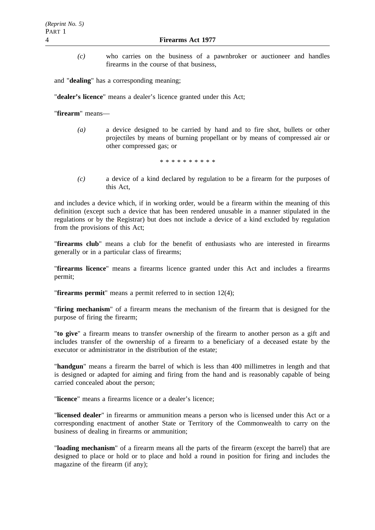*(c)* who carries on the business of a pawnbroker or auctioneer and handles firearms in the course of that business,

and "**dealing**" has a corresponding meaning;

"**dealer's licence**" means a dealer's licence granted under this Act;

"**firearm**" means—

*(a)* a device designed to be carried by hand and to fire shot, bullets or other projectiles by means of burning propellant or by means of compressed air or other compressed gas; or

\*\*\*\*\*\*\*\*\*\*

*(c)* a device of a kind declared by regulation to be a firearm for the purposes of this Act,

and includes a device which, if in working order, would be a firearm within the meaning of this definition (except such a device that has been rendered unusable in a manner stipulated in the regulations or by the Registrar) but does not include a device of a kind excluded by regulation from the provisions of this Act;

"**firearms club**" means a club for the benefit of enthusiasts who are interested in firearms generally or in a particular class of firearms;

"**firearms licence**" means a firearms licence granted under this Act and includes a firearms permit;

"**firearms permit**" means a permit referred to in section 12(4);

"**firing mechanism**" of a firearm means the mechanism of the firearm that is designed for the purpose of firing the firearm;

"**to give**" a firearm means to transfer ownership of the firearm to another person as a gift and includes transfer of the ownership of a firearm to a beneficiary of a deceased estate by the executor or administrator in the distribution of the estate;

"**handgun**" means a firearm the barrel of which is less than 400 millimetres in length and that is designed or adapted for aiming and firing from the hand and is reasonably capable of being carried concealed about the person;

"**licence**" means a firearms licence or a dealer's licence;

"**licensed dealer**" in firearms or ammunition means a person who is licensed under this Act or a corresponding enactment of another State or Territory of the Commonwealth to carry on the business of dealing in firearms or ammunition;

"**loading mechanism**" of a firearm means all the parts of the firearm (except the barrel) that are designed to place or hold or to place and hold a round in position for firing and includes the magazine of the firearm (if any);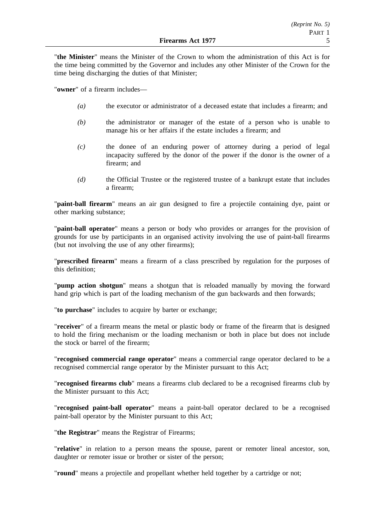"**the Minister**" means the Minister of the Crown to whom the administration of this Act is for the time being committed by the Governor and includes any other Minister of the Crown for the time being discharging the duties of that Minister;

"**owner**" of a firearm includes—

- *(a)* the executor or administrator of a deceased estate that includes a firearm; and
- *(b)* the administrator or manager of the estate of a person who is unable to manage his or her affairs if the estate includes a firearm; and
- *(c)* the donee of an enduring power of attorney during a period of legal incapacity suffered by the donor of the power if the donor is the owner of a firearm; and
- *(d)* the Official Trustee or the registered trustee of a bankrupt estate that includes a firearm;

"**paint-ball firearm**" means an air gun designed to fire a projectile containing dye, paint or other marking substance;

"**paint-ball operator**" means a person or body who provides or arranges for the provision of grounds for use by participants in an organised activity involving the use of paint-ball firearms (but not involving the use of any other firearms);

"**prescribed firearm**" means a firearm of a class prescribed by regulation for the purposes of this definition;

"**pump action shotgun**" means a shotgun that is reloaded manually by moving the forward hand grip which is part of the loading mechanism of the gun backwards and then forwards;

"**to purchase**" includes to acquire by barter or exchange;

"**receiver**" of a firearm means the metal or plastic body or frame of the firearm that is designed to hold the firing mechanism or the loading mechanism or both in place but does not include the stock or barrel of the firearm;

"**recognised commercial range operator**" means a commercial range operator declared to be a recognised commercial range operator by the Minister pursuant to this Act;

"**recognised firearms club**" means a firearms club declared to be a recognised firearms club by the Minister pursuant to this Act;

"**recognised paint-ball operator**" means a paint-ball operator declared to be a recognised paint-ball operator by the Minister pursuant to this Act;

"**the Registrar**" means the Registrar of Firearms;

"**relative**" in relation to a person means the spouse, parent or remoter lineal ancestor, son, daughter or remoter issue or brother or sister of the person;

"**round**" means a projectile and propellant whether held together by a cartridge or not;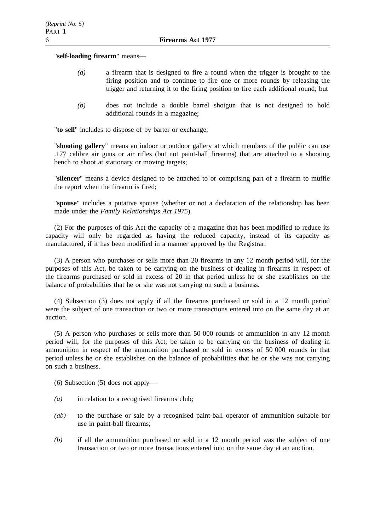"**self-loading firearm**" means—

- *(a)* a firearm that is designed to fire a round when the trigger is brought to the firing position and to continue to fire one or more rounds by releasing the trigger and returning it to the firing position to fire each additional round; but
- *(b)* does not include a double barrel shotgun that is not designed to hold additional rounds in a magazine;

"**to sell**" includes to dispose of by barter or exchange;

"**shooting gallery**" means an indoor or outdoor gallery at which members of the public can use .177 calibre air guns or air rifles (but not paint-ball firearms) that are attached to a shooting bench to shoot at stationary or moving targets;

"**silencer**" means a device designed to be attached to or comprising part of a firearm to muffle the report when the firearm is fired;

"**spouse**" includes a putative spouse (whether or not a declaration of the relationship has been made under the *Family Relationships Act 1975*).

(2) For the purposes of this Act the capacity of a magazine that has been modified to reduce its capacity will only be regarded as having the reduced capacity, instead of its capacity as manufactured, if it has been modified in a manner approved by the Registrar.

(3) A person who purchases or sells more than 20 firearms in any 12 month period will, for the purposes of this Act, be taken to be carrying on the business of dealing in firearms in respect of the firearms purchased or sold in excess of 20 in that period unless he or she establishes on the balance of probabilities that he or she was not carrying on such a business.

(4) Subsection (3) does not apply if all the firearms purchased or sold in a 12 month period were the subject of one transaction or two or more transactions entered into on the same day at an auction.

(5) A person who purchases or sells more than 50 000 rounds of ammunition in any 12 month period will, for the purposes of this Act, be taken to be carrying on the business of dealing in ammunition in respect of the ammunition purchased or sold in excess of 50 000 rounds in that period unless he or she establishes on the balance of probabilities that he or she was not carrying on such a business.

(6) Subsection (5) does not apply—

- *(a)* in relation to a recognised firearms club;
- *(ab)* to the purchase or sale by a recognised paint-ball operator of ammunition suitable for use in paint-ball firearms;
- *(b)* if all the ammunition purchased or sold in a 12 month period was the subject of one transaction or two or more transactions entered into on the same day at an auction.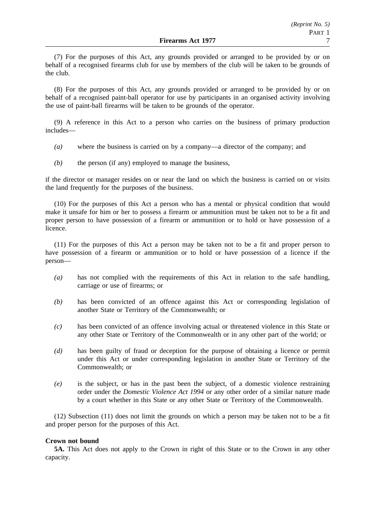(7) For the purposes of this Act, any grounds provided or arranged to be provided by or on behalf of a recognised firearms club for use by members of the club will be taken to be grounds of the club.

(8) For the purposes of this Act, any grounds provided or arranged to be provided by or on behalf of a recognised paint-ball operator for use by participants in an organised activity involving the use of paint-ball firearms will be taken to be grounds of the operator.

(9) A reference in this Act to a person who carries on the business of primary production includes—

- *(a)* where the business is carried on by a company—a director of the company; and
- *(b)* the person (if any) employed to manage the business,

if the director or manager resides on or near the land on which the business is carried on or visits the land frequently for the purposes of the business.

(10) For the purposes of this Act a person who has a mental or physical condition that would make it unsafe for him or her to possess a firearm or ammunition must be taken not to be a fit and proper person to have possession of a firearm or ammunition or to hold or have possession of a licence.

(11) For the purposes of this Act a person may be taken not to be a fit and proper person to have possession of a firearm or ammunition or to hold or have possession of a licence if the person—

- *(a)* has not complied with the requirements of this Act in relation to the safe handling, carriage or use of firearms; or
- *(b)* has been convicted of an offence against this Act or corresponding legislation of another State or Territory of the Commonwealth; or
- *(c)* has been convicted of an offence involving actual or threatened violence in this State or any other State or Territory of the Commonwealth or in any other part of the world; or
- *(d)* has been guilty of fraud or deception for the purpose of obtaining a licence or permit under this Act or under corresponding legislation in another State or Territory of the Commonwealth; or
- *(e)* is the subject, or has in the past been the subject, of a domestic violence restraining order under the *Domestic Violence Act 1994* or any other order of a similar nature made by a court whether in this State or any other State or Territory of the Commonwealth.

(12) Subsection (11) does not limit the grounds on which a person may be taken not to be a fit and proper person for the purposes of this Act.

#### **Crown not bound**

**5A.** This Act does not apply to the Crown in right of this State or to the Crown in any other capacity.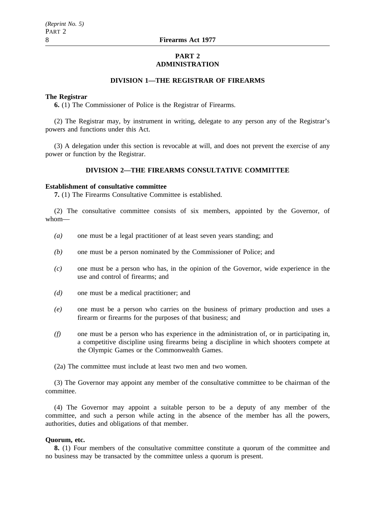## **PART 2 ADMINISTRATION**

## **DIVISION 1—THE REGISTRAR OF FIREARMS**

#### **The Registrar**

**6.** (1) The Commissioner of Police is the Registrar of Firearms.

(2) The Registrar may, by instrument in writing, delegate to any person any of the Registrar's powers and functions under this Act.

(3) A delegation under this section is revocable at will, and does not prevent the exercise of any power or function by the Registrar.

## **DIVISION 2—THE FIREARMS CONSULTATIVE COMMITTEE**

#### **Establishment of consultative committee**

**7.** (1) The Firearms Consultative Committee is established.

(2) The consultative committee consists of six members, appointed by the Governor, of whom—

- *(a)* one must be a legal practitioner of at least seven years standing; and
- *(b)* one must be a person nominated by the Commissioner of Police; and
- *(c)* one must be a person who has, in the opinion of the Governor, wide experience in the use and control of firearms; and
- *(d)* one must be a medical practitioner; and
- *(e)* one must be a person who carries on the business of primary production and uses a firearm or firearms for the purposes of that business; and
- *(f)* one must be a person who has experience in the administration of, or in participating in, a competitive discipline using firearms being a discipline in which shooters compete at the Olympic Games or the Commonwealth Games.

(2a) The committee must include at least two men and two women.

(3) The Governor may appoint any member of the consultative committee to be chairman of the committee.

(4) The Governor may appoint a suitable person to be a deputy of any member of the committee, and such a person while acting in the absence of the member has all the powers, authorities, duties and obligations of that member.

#### **Quorum, etc.**

**8.** (1) Four members of the consultative committee constitute a quorum of the committee and no business may be transacted by the committee unless a quorum is present.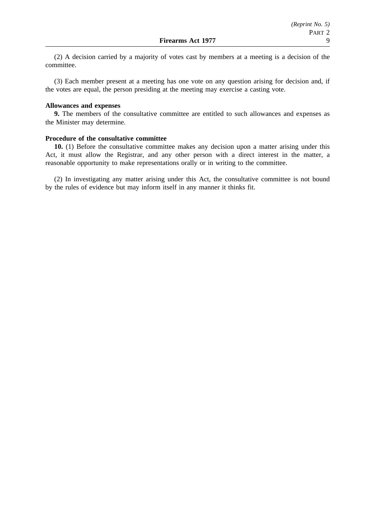(2) A decision carried by a majority of votes cast by members at a meeting is a decision of the committee.

(3) Each member present at a meeting has one vote on any question arising for decision and, if the votes are equal, the person presiding at the meeting may exercise a casting vote.

## **Allowances and expenses**

**9.** The members of the consultative committee are entitled to such allowances and expenses as the Minister may determine.

#### **Procedure of the consultative committee**

**10.** (1) Before the consultative committee makes any decision upon a matter arising under this Act, it must allow the Registrar, and any other person with a direct interest in the matter, a reasonable opportunity to make representations orally or in writing to the committee.

(2) In investigating any matter arising under this Act, the consultative committee is not bound by the rules of evidence but may inform itself in any manner it thinks fit.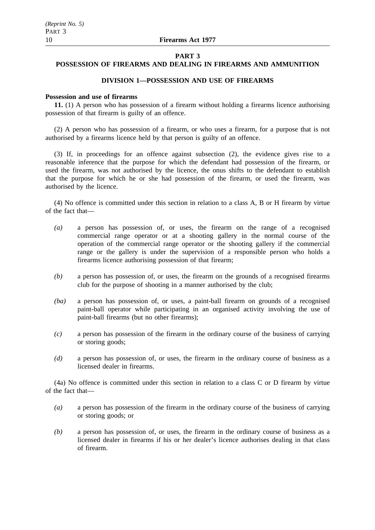#### **PART 3**

## **POSSESSION OF FIREARMS AND DEALING IN FIREARMS AND AMMUNITION**

## **DIVISION 1—POSSESSION AND USE OF FIREARMS**

#### **Possession and use of firearms**

**11.** (1) A person who has possession of a firearm without holding a firearms licence authorising possession of that firearm is guilty of an offence.

(2) A person who has possession of a firearm, or who uses a firearm, for a purpose that is not authorised by a firearms licence held by that person is guilty of an offence.

(3) If, in proceedings for an offence against subsection (2), the evidence gives rise to a reasonable inference that the purpose for which the defendant had possession of the firearm, or used the firearm, was not authorised by the licence, the onus shifts to the defendant to establish that the purpose for which he or she had possession of the firearm, or used the firearm, was authorised by the licence.

(4) No offence is committed under this section in relation to a class A, B or H firearm by virtue of the fact that—

- *(a)* a person has possession of, or uses, the firearm on the range of a recognised commercial range operator or at a shooting gallery in the normal course of the operation of the commercial range operator or the shooting gallery if the commercial range or the gallery is under the supervision of a responsible person who holds a firearms licence authorising possession of that firearm;
- *(b)* a person has possession of, or uses, the firearm on the grounds of a recognised firearms club for the purpose of shooting in a manner authorised by the club;
- *(ba)* a person has possession of, or uses, a paint-ball firearm on grounds of a recognised paint-ball operator while participating in an organised activity involving the use of paint-ball firearms (but no other firearms);
- *(c)* a person has possession of the firearm in the ordinary course of the business of carrying or storing goods;
- *(d)* a person has possession of, or uses, the firearm in the ordinary course of business as a licensed dealer in firearms.

(4a) No offence is committed under this section in relation to a class C or D firearm by virtue of the fact that—

- *(a)* a person has possession of the firearm in the ordinary course of the business of carrying or storing goods; or
- *(b)* a person has possession of, or uses, the firearm in the ordinary course of business as a licensed dealer in firearms if his or her dealer's licence authorises dealing in that class of firearm.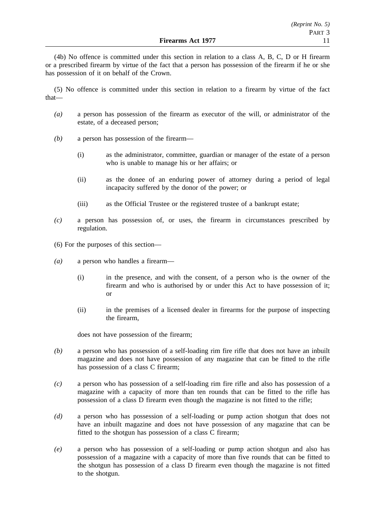(4b) No offence is committed under this section in relation to a class A, B, C, D or H firearm or a prescribed firearm by virtue of the fact that a person has possession of the firearm if he or she has possession of it on behalf of the Crown.

(5) No offence is committed under this section in relation to a firearm by virtue of the fact that—

- *(a)* a person has possession of the firearm as executor of the will, or administrator of the estate, of a deceased person;
- *(b)* a person has possession of the firearm—
	- (i) as the administrator, committee, guardian or manager of the estate of a person who is unable to manage his or her affairs; or
	- (ii) as the donee of an enduring power of attorney during a period of legal incapacity suffered by the donor of the power; or
	- (iii) as the Official Trustee or the registered trustee of a bankrupt estate;
- *(c)* a person has possession of, or uses, the firearm in circumstances prescribed by regulation.
- (6) For the purposes of this section—
- *(a)* a person who handles a firearm—
	- (i) in the presence, and with the consent, of a person who is the owner of the firearm and who is authorised by or under this Act to have possession of it; or
	- (ii) in the premises of a licensed dealer in firearms for the purpose of inspecting the firearm,

does not have possession of the firearm;

- *(b)* a person who has possession of a self-loading rim fire rifle that does not have an inbuilt magazine and does not have possession of any magazine that can be fitted to the rifle has possession of a class C firearm;
- *(c)* a person who has possession of a self-loading rim fire rifle and also has possession of a magazine with a capacity of more than ten rounds that can be fitted to the rifle has possession of a class D firearm even though the magazine is not fitted to the rifle;
- *(d)* a person who has possession of a self-loading or pump action shotgun that does not have an inbuilt magazine and does not have possession of any magazine that can be fitted to the shotgun has possession of a class C firearm;
- *(e)* a person who has possession of a self-loading or pump action shotgun and also has possession of a magazine with a capacity of more than five rounds that can be fitted to the shotgun has possession of a class D firearm even though the magazine is not fitted to the shotgun.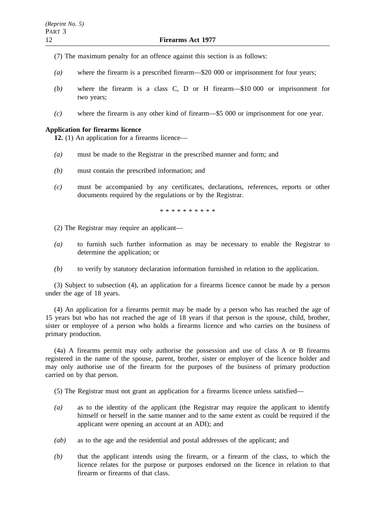- (7) The maximum penalty for an offence against this section is as follows:
- *(a)* where the firearm is a prescribed firearm—\$20 000 or imprisonment for four years;
- *(b)* where the firearm is a class C, D or H firearm—\$10 000 or imprisonment for two years;
- *(c)* where the firearm is any other kind of firearm—\$5 000 or imprisonment for one year.

## **Application for firearms licence**

**12.** (1) An application for a firearms licence—

- *(a)* must be made to the Registrar in the prescribed manner and form; and
- *(b)* must contain the prescribed information; and
- *(c)* must be accompanied by any certificates, declarations, references, reports or other documents required by the regulations or by the Registrar.

\*\*\*\*\*\*\*\*\*\*

- (2) The Registrar may require an applicant—
- *(a)* to furnish such further information as may be necessary to enable the Registrar to determine the application; or
- *(b)* to verify by statutory declaration information furnished in relation to the application.

(3) Subject to subsection (4), an application for a firearms licence cannot be made by a person under the age of 18 years.

(4) An application for a firearms permit may be made by a person who has reached the age of 15 years but who has not reached the age of 18 years if that person is the spouse, child, brother, sister or employee of a person who holds a firearms licence and who carries on the business of primary production.

(4a) A firearms permit may only authorise the possession and use of class A or B firearms registered in the name of the spouse, parent, brother, sister or employer of the licence holder and may only authorise use of the firearm for the purposes of the business of primary production carried on by that person.

(5) The Registrar must not grant an application for a firearms licence unless satisfied—

- *(a)* as to the identity of the applicant (the Registrar may require the applicant to identify himself or herself in the same manner and to the same extent as could be required if the applicant were opening an account at an ADI); and
- *(ab)* as to the age and the residential and postal addresses of the applicant; and
- *(b)* that the applicant intends using the firearm, or a firearm of the class, to which the licence relates for the purpose or purposes endorsed on the licence in relation to that firearm or firearms of that class.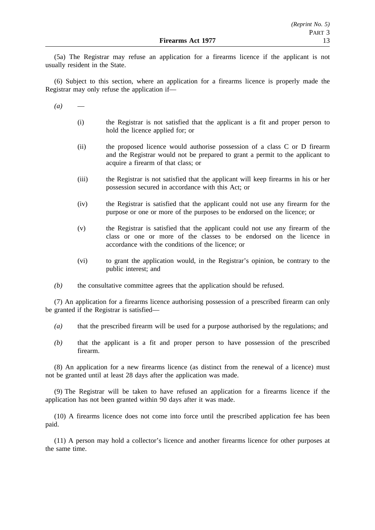(5a) The Registrar may refuse an application for a firearms licence if the applicant is not usually resident in the State.

(6) Subject to this section, where an application for a firearms licence is properly made the Registrar may only refuse the application if—

 $(a)$ 

- (i) the Registrar is not satisfied that the applicant is a fit and proper person to hold the licence applied for; or
- (ii) the proposed licence would authorise possession of a class C or D firearm and the Registrar would not be prepared to grant a permit to the applicant to acquire a firearm of that class; or
- (iii) the Registrar is not satisfied that the applicant will keep firearms in his or her possession secured in accordance with this Act; or
- (iv) the Registrar is satisfied that the applicant could not use any firearm for the purpose or one or more of the purposes to be endorsed on the licence; or
- (v) the Registrar is satisfied that the applicant could not use any firearm of the class or one or more of the classes to be endorsed on the licence in accordance with the conditions of the licence; or
- (vi) to grant the application would, in the Registrar's opinion, be contrary to the public interest; and
- *(b)* the consultative committee agrees that the application should be refused.

(7) An application for a firearms licence authorising possession of a prescribed firearm can only be granted if the Registrar is satisfied—

- *(a)* that the prescribed firearm will be used for a purpose authorised by the regulations; and
- *(b)* that the applicant is a fit and proper person to have possession of the prescribed firearm.

(8) An application for a new firearms licence (as distinct from the renewal of a licence) must not be granted until at least 28 days after the application was made.

(9) The Registrar will be taken to have refused an application for a firearms licence if the application has not been granted within 90 days after it was made.

(10) A firearms licence does not come into force until the prescribed application fee has been paid.

(11) A person may hold a collector's licence and another firearms licence for other purposes at the same time.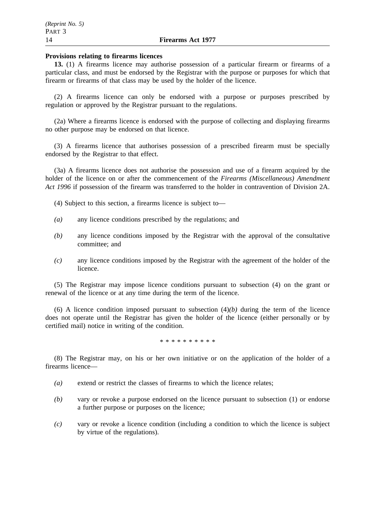#### **Provisions relating to firearms licences**

**13.** (1) A firearms licence may authorise possession of a particular firearm or firearms of a particular class, and must be endorsed by the Registrar with the purpose or purposes for which that firearm or firearms of that class may be used by the holder of the licence.

(2) A firearms licence can only be endorsed with a purpose or purposes prescribed by regulation or approved by the Registrar pursuant to the regulations.

(2a) Where a firearms licence is endorsed with the purpose of collecting and displaying firearms no other purpose may be endorsed on that licence.

(3) A firearms licence that authorises possession of a prescribed firearm must be specially endorsed by the Registrar to that effect.

(3a) A firearms licence does not authorise the possession and use of a firearm acquired by the holder of the licence on or after the commencement of the *Firearms (Miscellaneous) Amendment Act 1996* if possession of the firearm was transferred to the holder in contravention of Division 2A.

(4) Subject to this section, a firearms licence is subject to—

- *(a)* any licence conditions prescribed by the regulations; and
- *(b)* any licence conditions imposed by the Registrar with the approval of the consultative committee; and
- *(c)* any licence conditions imposed by the Registrar with the agreement of the holder of the licence.

(5) The Registrar may impose licence conditions pursuant to subsection (4) on the grant or renewal of the licence or at any time during the term of the licence.

(6) A licence condition imposed pursuant to subsection  $(4)(b)$  during the term of the licence does not operate until the Registrar has given the holder of the licence (either personally or by certified mail) notice in writing of the condition.

\*\*\*\*\*\*\*\*\*\*

(8) The Registrar may, on his or her own initiative or on the application of the holder of a firearms licence—

- *(a)* extend or restrict the classes of firearms to which the licence relates;
- *(b)* vary or revoke a purpose endorsed on the licence pursuant to subsection (1) or endorse a further purpose or purposes on the licence;
- *(c)* vary or revoke a licence condition (including a condition to which the licence is subject by virtue of the regulations).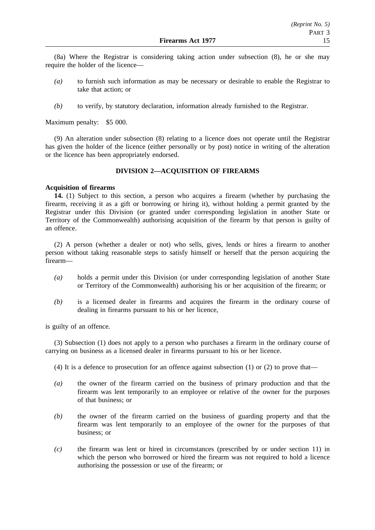(8a) Where the Registrar is considering taking action under subsection (8), he or she may require the holder of the licence—

- *(a)* to furnish such information as may be necessary or desirable to enable the Registrar to take that action; or
- *(b)* to verify, by statutory declaration, information already furnished to the Registrar.

Maximum penalty: \$5 000.

(9) An alteration under subsection (8) relating to a licence does not operate until the Registrar has given the holder of the licence (either personally or by post) notice in writing of the alteration or the licence has been appropriately endorsed.

## **DIVISION 2—ACQUISITION OF FIREARMS**

#### **Acquisition of firearms**

**14.** (1) Subject to this section, a person who acquires a firearm (whether by purchasing the firearm, receiving it as a gift or borrowing or hiring it), without holding a permit granted by the Registrar under this Division (or granted under corresponding legislation in another State or Territory of the Commonwealth) authorising acquisition of the firearm by that person is guilty of an offence.

(2) A person (whether a dealer or not) who sells, gives, lends or hires a firearm to another person without taking reasonable steps to satisfy himself or herself that the person acquiring the firearm—

- *(a)* holds a permit under this Division (or under corresponding legislation of another State or Territory of the Commonwealth) authorising his or her acquisition of the firearm; or
- *(b)* is a licensed dealer in firearms and acquires the firearm in the ordinary course of dealing in firearms pursuant to his or her licence,

is guilty of an offence.

(3) Subsection (1) does not apply to a person who purchases a firearm in the ordinary course of carrying on business as a licensed dealer in firearms pursuant to his or her licence.

(4) It is a defence to prosecution for an offence against subsection  $(1)$  or  $(2)$  to prove that—

- *(a)* the owner of the firearm carried on the business of primary production and that the firearm was lent temporarily to an employee or relative of the owner for the purposes of that business; or
- *(b)* the owner of the firearm carried on the business of guarding property and that the firearm was lent temporarily to an employee of the owner for the purposes of that business; or
- *(c)* the firearm was lent or hired in circumstances (prescribed by or under section 11) in which the person who borrowed or hired the firearm was not required to hold a licence authorising the possession or use of the firearm; or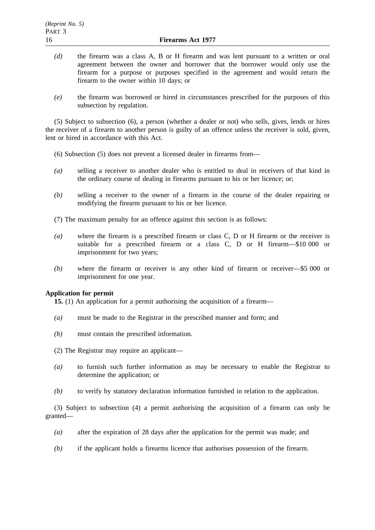- *(d)* the firearm was a class A, B or H firearm and was lent pursuant to a written or oral agreement between the owner and borrower that the borrower would only use the firearm for a purpose or purposes specified in the agreement and would return the firearm to the owner within 10 days; or
- *(e)* the firearm was borrowed or hired in circumstances prescribed for the purposes of this subsection by regulation.

(5) Subject to subsection (6), a person (whether a dealer or not) who sells, gives, lends or hires the receiver of a firearm to another person is guilty of an offence unless the receiver is sold, given, lent or hired in accordance with this Act.

- (6) Subsection (5) does not prevent a licensed dealer in firearms from—
- *(a)* selling a receiver to another dealer who is entitled to deal in receivers of that kind in the ordinary course of dealing in firearms pursuant to his or her licence; or;
- *(b)* selling a receiver to the owner of a firearm in the course of the dealer repairing or modifying the firearm pursuant to his or her licence.
- (7) The maximum penalty for an offence against this section is as follows:
- *(a)* where the firearm is a prescribed firearm or class C, D or H firearm or the receiver is suitable for a prescribed firearm or a class C, D or H firearm—\$10 000 or imprisonment for two years;
- *(b)* where the firearm or receiver is any other kind of firearm or receiver—\$5 000 or imprisonment for one year.

## **Application for permit**

**15.** (1) An application for a permit authorising the acquisition of a firearm—

- *(a)* must be made to the Registrar in the prescribed manner and form; and
- *(b)* must contain the prescribed information.
- (2) The Registrar may require an applicant—
- *(a)* to furnish such further information as may be necessary to enable the Registrar to determine the application; or
- *(b)* to verify by statutory declaration information furnished in relation to the application.

(3) Subject to subsection (4) a permit authorising the acquisition of a firearm can only be granted—

- *(a)* after the expiration of 28 days after the application for the permit was made; and
- *(b)* if the applicant holds a firearms licence that authorises possession of the firearm.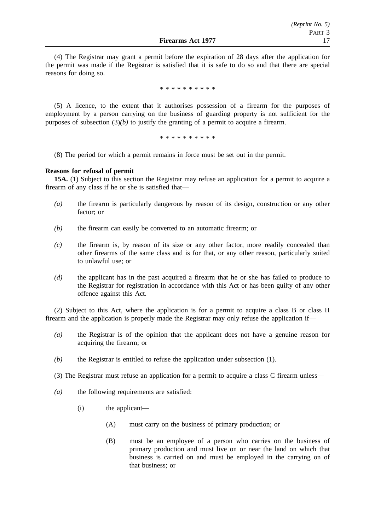(4) The Registrar may grant a permit before the expiration of 28 days after the application for the permit was made if the Registrar is satisfied that it is safe to do so and that there are special reasons for doing so.

\*\*\*\*\*\*\*\*\*\*

(5) A licence, to the extent that it authorises possession of a firearm for the purposes of employment by a person carrying on the business of guarding property is not sufficient for the purposes of subsection  $(3)(b)$  to justify the granting of a permit to acquire a firearm.

\*\*\*\*\*\*\*\*\*\*

(8) The period for which a permit remains in force must be set out in the permit.

#### **Reasons for refusal of permit**

**15A.** (1) Subject to this section the Registrar may refuse an application for a permit to acquire a firearm of any class if he or she is satisfied that—

- *(a)* the firearm is particularly dangerous by reason of its design, construction or any other factor; or
- *(b)* the firearm can easily be converted to an automatic firearm; or
- *(c)* the firearm is, by reason of its size or any other factor, more readily concealed than other firearms of the same class and is for that, or any other reason, particularly suited to unlawful use; or
- *(d)* the applicant has in the past acquired a firearm that he or she has failed to produce to the Registrar for registration in accordance with this Act or has been guilty of any other offence against this Act.

(2) Subject to this Act, where the application is for a permit to acquire a class B or class H firearm and the application is properly made the Registrar may only refuse the application if—

- *(a)* the Registrar is of the opinion that the applicant does not have a genuine reason for acquiring the firearm; or
- *(b)* the Registrar is entitled to refuse the application under subsection (1).
- (3) The Registrar must refuse an application for a permit to acquire a class C firearm unless—
- *(a)* the following requirements are satisfied:
	- (i) the applicant—
		- (A) must carry on the business of primary production; or
		- (B) must be an employee of a person who carries on the business of primary production and must live on or near the land on which that business is carried on and must be employed in the carrying on of that business; or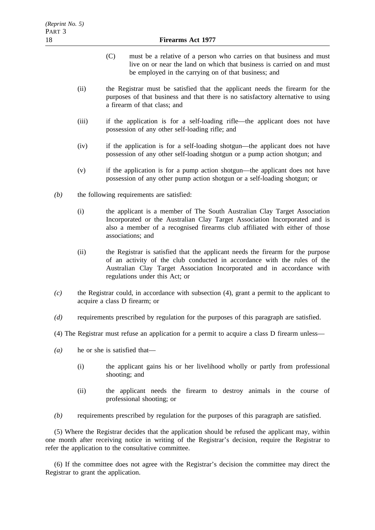- (C) must be a relative of a person who carries on that business and must live on or near the land on which that business is carried on and must be employed in the carrying on of that business; and
- (ii) the Registrar must be satisfied that the applicant needs the firearm for the purposes of that business and that there is no satisfactory alternative to using a firearm of that class; and
- (iii) if the application is for a self-loading rifle—the applicant does not have possession of any other self-loading rifle; and
- (iv) if the application is for a self-loading shotgun—the applicant does not have possession of any other self-loading shotgun or a pump action shotgun; and
- (v) if the application is for a pump action shotgun—the applicant does not have possession of any other pump action shotgun or a self-loading shotgun; or
- *(b)* the following requirements are satisfied:
	- (i) the applicant is a member of The South Australian Clay Target Association Incorporated or the Australian Clay Target Association Incorporated and is also a member of a recognised firearms club affiliated with either of those associations; and
	- (ii) the Registrar is satisfied that the applicant needs the firearm for the purpose of an activity of the club conducted in accordance with the rules of the Australian Clay Target Association Incorporated and in accordance with regulations under this Act; or
- *(c)* the Registrar could, in accordance with subsection (4), grant a permit to the applicant to acquire a class D firearm; or
- *(d)* requirements prescribed by regulation for the purposes of this paragraph are satisfied.
- (4) The Registrar must refuse an application for a permit to acquire a class D firearm unless—
- *(a)* he or she is satisfied that—
	- (i) the applicant gains his or her livelihood wholly or partly from professional shooting; and
	- (ii) the applicant needs the firearm to destroy animals in the course of professional shooting; or
- *(b)* requirements prescribed by regulation for the purposes of this paragraph are satisfied.

(5) Where the Registrar decides that the application should be refused the applicant may, within one month after receiving notice in writing of the Registrar's decision, require the Registrar to refer the application to the consultative committee.

(6) If the committee does not agree with the Registrar's decision the committee may direct the Registrar to grant the application.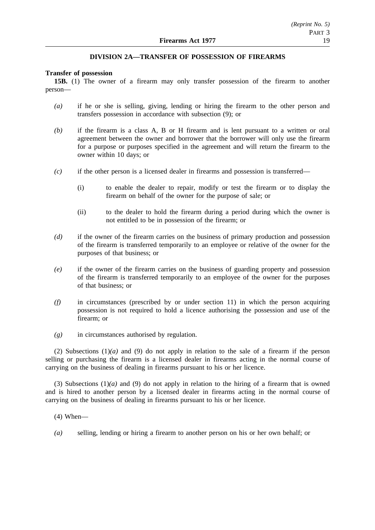## **DIVISION 2A—TRANSFER OF POSSESSION OF FIREARMS**

#### **Transfer of possession**

**15B.** (1) The owner of a firearm may only transfer possession of the firearm to another person—

- *(a)* if he or she is selling, giving, lending or hiring the firearm to the other person and transfers possession in accordance with subsection (9); or
- *(b)* if the firearm is a class A, B or H firearm and is lent pursuant to a written or oral agreement between the owner and borrower that the borrower will only use the firearm for a purpose or purposes specified in the agreement and will return the firearm to the owner within 10 days; or
- *(c)* if the other person is a licensed dealer in firearms and possession is transferred—
	- (i) to enable the dealer to repair, modify or test the firearm or to display the firearm on behalf of the owner for the purpose of sale; or
	- (ii) to the dealer to hold the firearm during a period during which the owner is not entitled to be in possession of the firearm; or
- *(d)* if the owner of the firearm carries on the business of primary production and possession of the firearm is transferred temporarily to an employee or relative of the owner for the purposes of that business; or
- *(e)* if the owner of the firearm carries on the business of guarding property and possession of the firearm is transferred temporarily to an employee of the owner for the purposes of that business; or
- *(f)* in circumstances (prescribed by or under section 11) in which the person acquiring possession is not required to hold a licence authorising the possession and use of the firearm; or
- *(g)* in circumstances authorised by regulation.

(2) Subsections  $(1)(a)$  and (9) do not apply in relation to the sale of a firearm if the person selling or purchasing the firearm is a licensed dealer in firearms acting in the normal course of carrying on the business of dealing in firearms pursuant to his or her licence.

(3) Subsections (1)*(a)* and (9) do not apply in relation to the hiring of a firearm that is owned and is hired to another person by a licensed dealer in firearms acting in the normal course of carrying on the business of dealing in firearms pursuant to his or her licence.

- (4) When—
- *(a)* selling, lending or hiring a firearm to another person on his or her own behalf; or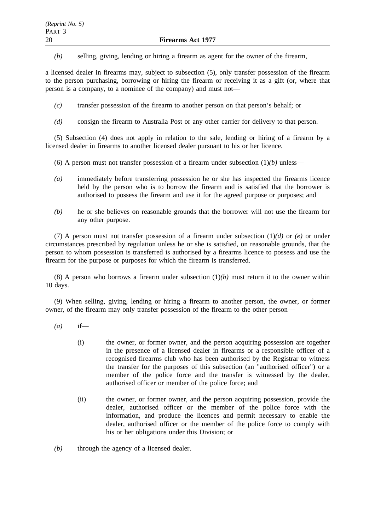*(b)* selling, giving, lending or hiring a firearm as agent for the owner of the firearm,

a licensed dealer in firearms may, subject to subsection (5), only transfer possession of the firearm to the person purchasing, borrowing or hiring the firearm or receiving it as a gift (or, where that person is a company, to a nominee of the company) and must not—

- *(c)* transfer possession of the firearm to another person on that person's behalf; or
- *(d)* consign the firearm to Australia Post or any other carrier for delivery to that person.

(5) Subsection (4) does not apply in relation to the sale, lending or hiring of a firearm by a licensed dealer in firearms to another licensed dealer pursuant to his or her licence.

(6) A person must not transfer possession of a firearm under subsection  $(1)(b)$  unless—

- *(a)* immediately before transferring possession he or she has inspected the firearms licence held by the person who is to borrow the firearm and is satisfied that the borrower is authorised to possess the firearm and use it for the agreed purpose or purposes; and
- *(b)* he or she believes on reasonable grounds that the borrower will not use the firearm for any other purpose.

(7) A person must not transfer possession of a firearm under subsection (1)*(d)* or *(e)* or under circumstances prescribed by regulation unless he or she is satisfied, on reasonable grounds, that the person to whom possession is transferred is authorised by a firearms licence to possess and use the firearm for the purpose or purposes for which the firearm is transferred.

(8) A person who borrows a firearm under subsection  $(1)(b)$  must return it to the owner within 10 days.

(9) When selling, giving, lending or hiring a firearm to another person, the owner, or former owner, of the firearm may only transfer possession of the firearm to the other person—

- *(a)* if—
	- (i) the owner, or former owner, and the person acquiring possession are together in the presence of a licensed dealer in firearms or a responsible officer of a recognised firearms club who has been authorised by the Registrar to witness the transfer for the purposes of this subsection (an "authorised officer") or a member of the police force and the transfer is witnessed by the dealer, authorised officer or member of the police force; and
	- (ii) the owner, or former owner, and the person acquiring possession, provide the dealer, authorised officer or the member of the police force with the information, and produce the licences and permit necessary to enable the dealer, authorised officer or the member of the police force to comply with his or her obligations under this Division; or
- *(b)* through the agency of a licensed dealer.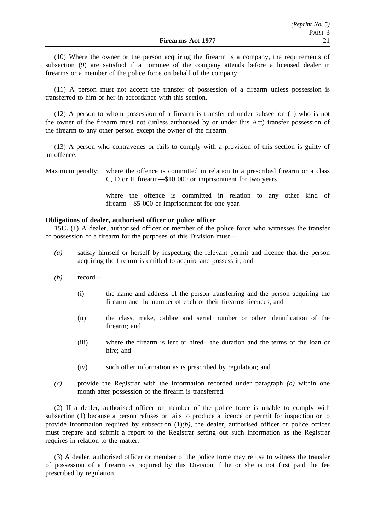(10) Where the owner or the person acquiring the firearm is a company, the requirements of subsection (9) are satisfied if a nominee of the company attends before a licensed dealer in firearms or a member of the police force on behalf of the company.

(11) A person must not accept the transfer of possession of a firearm unless possession is transferred to him or her in accordance with this section.

(12) A person to whom possession of a firearm is transferred under subsection (1) who is not the owner of the firearm must not (unless authorised by or under this Act) transfer possession of the firearm to any other person except the owner of the firearm.

(13) A person who contravenes or fails to comply with a provision of this section is guilty of an offence.

Maximum penalty: where the offence is committed in relation to a prescribed firearm or a class C, D or H firearm—\$10 000 or imprisonment for two years

> where the offence is committed in relation to any other kind of firearm—\$5 000 or imprisonment for one year.

#### **Obligations of dealer, authorised officer or police officer**

**15C.** (1) A dealer, authorised officer or member of the police force who witnesses the transfer of possession of a firearm for the purposes of this Division must—

- *(a)* satisfy himself or herself by inspecting the relevant permit and licence that the person acquiring the firearm is entitled to acquire and possess it; and
- *(b)* record—
	- (i) the name and address of the person transferring and the person acquiring the firearm and the number of each of their firearms licences; and
	- (ii) the class, make, calibre and serial number or other identification of the firearm; and
	- (iii) where the firearm is lent or hired—the duration and the terms of the loan or hire; and
	- (iv) such other information as is prescribed by regulation; and
- *(c)* provide the Registrar with the information recorded under paragraph *(b)* within one month after possession of the firearm is transferred.

(2) If a dealer, authorised officer or member of the police force is unable to comply with subsection (1) because a person refuses or fails to produce a licence or permit for inspection or to provide information required by subsection  $(1)(b)$ , the dealer, authorised officer or police officer must prepare and submit a report to the Registrar setting out such information as the Registrar requires in relation to the matter.

(3) A dealer, authorised officer or member of the police force may refuse to witness the transfer of possession of a firearm as required by this Division if he or she is not first paid the fee prescribed by regulation.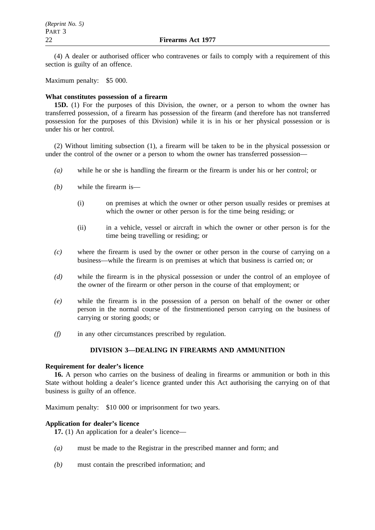(4) A dealer or authorised officer who contravenes or fails to comply with a requirement of this section is guilty of an offence.

Maximum penalty: \$5 000.

## **What constitutes possession of a firearm**

**15D.** (1) For the purposes of this Division, the owner, or a person to whom the owner has transferred possession, of a firearm has possession of the firearm (and therefore has not transferred possession for the purposes of this Division) while it is in his or her physical possession or is under his or her control.

(2) Without limiting subsection (1), a firearm will be taken to be in the physical possession or under the control of the owner or a person to whom the owner has transferred possession—

- *(a)* while he or she is handling the firearm or the firearm is under his or her control; or
- *(b)* while the firearm is—
	- (i) on premises at which the owner or other person usually resides or premises at which the owner or other person is for the time being residing; or
	- (ii) in a vehicle, vessel or aircraft in which the owner or other person is for the time being travelling or residing; or
- *(c)* where the firearm is used by the owner or other person in the course of carrying on a business—while the firearm is on premises at which that business is carried on; or
- *(d)* while the firearm is in the physical possession or under the control of an employee of the owner of the firearm or other person in the course of that employment; or
- *(e)* while the firearm is in the possession of a person on behalf of the owner or other person in the normal course of the firstmentioned person carrying on the business of carrying or storing goods; or
- *(f)* in any other circumstances prescribed by regulation.

## **DIVISION 3—DEALING IN FIREARMS AND AMMUNITION**

#### **Requirement for dealer's licence**

**16.** A person who carries on the business of dealing in firearms or ammunition or both in this State without holding a dealer's licence granted under this Act authorising the carrying on of that business is guilty of an offence.

Maximum penalty: \$10 000 or imprisonment for two years.

## **Application for dealer's licence**

**17.** (1) An application for a dealer's licence—

- *(a)* must be made to the Registrar in the prescribed manner and form; and
- *(b)* must contain the prescribed information; and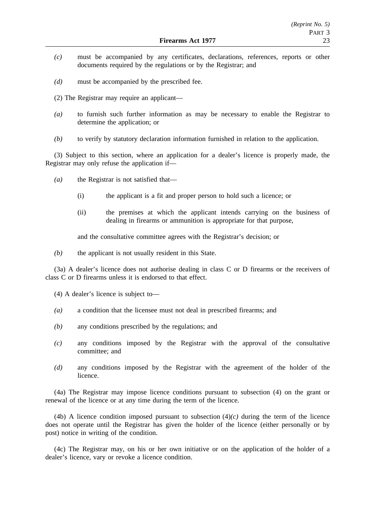- *(c)* must be accompanied by any certificates, declarations, references, reports or other documents required by the regulations or by the Registrar; and
- *(d)* must be accompanied by the prescribed fee.
- (2) The Registrar may require an applicant—
- *(a)* to furnish such further information as may be necessary to enable the Registrar to determine the application; or
- *(b)* to verify by statutory declaration information furnished in relation to the application.

(3) Subject to this section, where an application for a dealer's licence is properly made, the Registrar may only refuse the application if—

- *(a)* the Registrar is not satisfied that—
	- (i) the applicant is a fit and proper person to hold such a licence; or
	- (ii) the premises at which the applicant intends carrying on the business of dealing in firearms or ammunition is appropriate for that purpose,

and the consultative committee agrees with the Registrar's decision; or

*(b)* the applicant is not usually resident in this State.

(3a) A dealer's licence does not authorise dealing in class C or D firearms or the receivers of class C or D firearms unless it is endorsed to that effect.

(4) A dealer's licence is subject to—

- *(a)* a condition that the licensee must not deal in prescribed firearms; and
- *(b)* any conditions prescribed by the regulations; and
- *(c)* any conditions imposed by the Registrar with the approval of the consultative committee; and
- *(d)* any conditions imposed by the Registrar with the agreement of the holder of the licence.

(4a) The Registrar may impose licence conditions pursuant to subsection (4) on the grant or renewal of the licence or at any time during the term of the licence.

(4b) A licence condition imposed pursuant to subsection  $(4)(c)$  during the term of the licence does not operate until the Registrar has given the holder of the licence (either personally or by post) notice in writing of the condition.

(4c) The Registrar may, on his or her own initiative or on the application of the holder of a dealer's licence, vary or revoke a licence condition.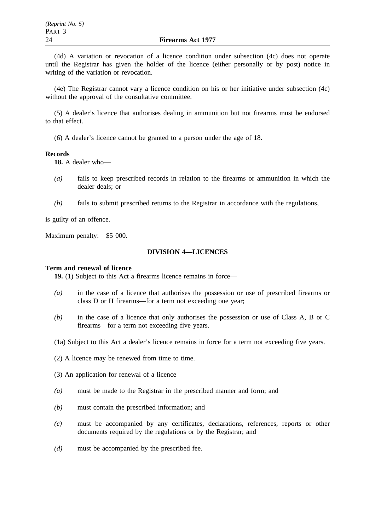(4d) A variation or revocation of a licence condition under subsection (4c) does not operate until the Registrar has given the holder of the licence (either personally or by post) notice in writing of the variation or revocation.

(4e) The Registrar cannot vary a licence condition on his or her initiative under subsection (4c) without the approval of the consultative committee.

(5) A dealer's licence that authorises dealing in ammunition but not firearms must be endorsed to that effect.

(6) A dealer's licence cannot be granted to a person under the age of 18.

#### **Records**

**18.** A dealer who—

- *(a)* fails to keep prescribed records in relation to the firearms or ammunition in which the dealer deals; or
- *(b)* fails to submit prescribed returns to the Registrar in accordance with the regulations,

is guilty of an offence.

Maximum penalty: \$5 000.

## **DIVISION 4—LICENCES**

#### **Term and renewal of licence**

**19.** (1) Subject to this Act a firearms licence remains in force—

- *(a)* in the case of a licence that authorises the possession or use of prescribed firearms or class D or H firearms—for a term not exceeding one year;
- *(b)* in the case of a licence that only authorises the possession or use of Class A, B or C firearms—for a term not exceeding five years.
- (1a) Subject to this Act a dealer's licence remains in force for a term not exceeding five years.

(2) A licence may be renewed from time to time.

- (3) An application for renewal of a licence—
- *(a)* must be made to the Registrar in the prescribed manner and form; and
- *(b)* must contain the prescribed information; and
- *(c)* must be accompanied by any certificates, declarations, references, reports or other documents required by the regulations or by the Registrar; and
- *(d)* must be accompanied by the prescribed fee.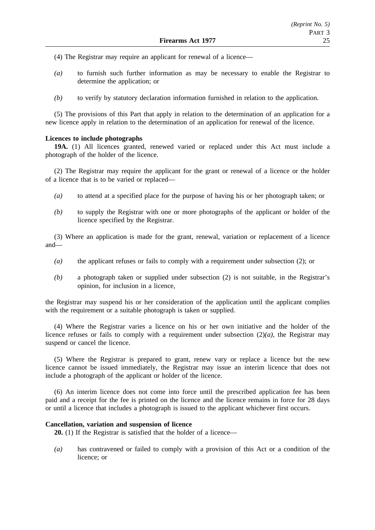(4) The Registrar may require an applicant for renewal of a licence—

- *(a)* to furnish such further information as may be necessary to enable the Registrar to determine the application; or
- *(b)* to verify by statutory declaration information furnished in relation to the application.

(5) The provisions of this Part that apply in relation to the determination of an application for a new licence apply in relation to the determination of an application for renewal of the licence.

## **Licences to include photographs**

**19A.** (1) All licences granted, renewed varied or replaced under this Act must include a photograph of the holder of the licence.

(2) The Registrar may require the applicant for the grant or renewal of a licence or the holder of a licence that is to be varied or replaced—

- *(a)* to attend at a specified place for the purpose of having his or her photograph taken; or
- *(b)* to supply the Registrar with one or more photographs of the applicant or holder of the licence specified by the Registrar.

(3) Where an application is made for the grant, renewal, variation or replacement of a licence and—

- *(a)* the applicant refuses or fails to comply with a requirement under subsection (2); or
- *(b)* a photograph taken or supplied under subsection (2) is not suitable, in the Registrar's opinion, for inclusion in a licence,

the Registrar may suspend his or her consideration of the application until the applicant complies with the requirement or a suitable photograph is taken or supplied.

(4) Where the Registrar varies a licence on his or her own initiative and the holder of the licence refuses or fails to comply with a requirement under subsection  $(2)(a)$ , the Registrar may suspend or cancel the licence.

(5) Where the Registrar is prepared to grant, renew vary or replace a licence but the new licence cannot be issued immediately, the Registrar may issue an interim licence that does not include a photograph of the applicant or holder of the licence.

(6) An interim licence does not come into force until the prescribed application fee has been paid and a receipt for the fee is printed on the licence and the licence remains in force for 28 days or until a licence that includes a photograph is issued to the applicant whichever first occurs.

#### **Cancellation, variation and suspension of licence**

**20.** (1) If the Registrar is satisfied that the holder of a licence—

*(a)* has contravened or failed to comply with a provision of this Act or a condition of the licence; or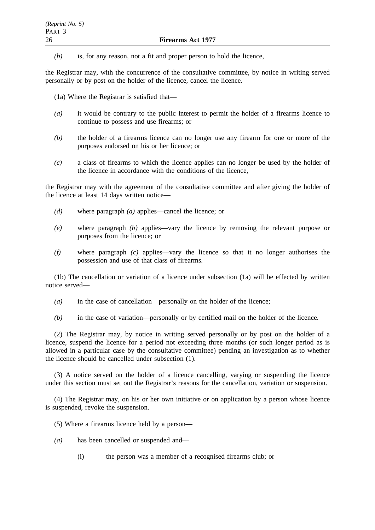*(b)* is, for any reason, not a fit and proper person to hold the licence,

the Registrar may, with the concurrence of the consultative committee, by notice in writing served personally or by post on the holder of the licence, cancel the licence.

(1a) Where the Registrar is satisfied that—

- *(a)* it would be contrary to the public interest to permit the holder of a firearms licence to continue to possess and use firearms; or
- *(b)* the holder of a firearms licence can no longer use any firearm for one or more of the purposes endorsed on his or her licence; or
- *(c)* a class of firearms to which the licence applies can no longer be used by the holder of the licence in accordance with the conditions of the licence,

the Registrar may with the agreement of the consultative committee and after giving the holder of the licence at least 14 days written notice—

- *(d)* where paragraph *(a)* applies—cancel the licence; or
- *(e)* where paragraph *(b)* applies—vary the licence by removing the relevant purpose or purposes from the licence; or
- *(f)* where paragraph *(c)* applies—vary the licence so that it no longer authorises the possession and use of that class of firearms.

(1b) The cancellation or variation of a licence under subsection (1a) will be effected by written notice served—

- *(a)* in the case of cancellation—personally on the holder of the licence;
- *(b)* in the case of variation—personally or by certified mail on the holder of the licence.

(2) The Registrar may, by notice in writing served personally or by post on the holder of a licence, suspend the licence for a period not exceeding three months (or such longer period as is allowed in a particular case by the consultative committee) pending an investigation as to whether the licence should be cancelled under subsection (1).

(3) A notice served on the holder of a licence cancelling, varying or suspending the licence under this section must set out the Registrar's reasons for the cancellation, variation or suspension.

(4) The Registrar may, on his or her own initiative or on application by a person whose licence is suspended, revoke the suspension.

(5) Where a firearms licence held by a person—

- *(a)* has been cancelled or suspended and—
	- (i) the person was a member of a recognised firearms club; or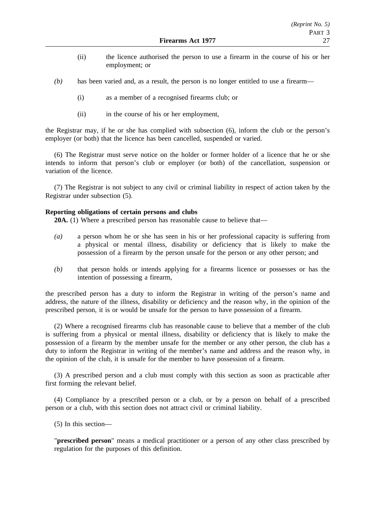- (ii) the licence authorised the person to use a firearm in the course of his or her employment; or
- *(b)* has been varied and, as a result, the person is no longer entitled to use a firearm—
	- (i) as a member of a recognised firearms club; or
	- (ii) in the course of his or her employment,

the Registrar may, if he or she has complied with subsection (6), inform the club or the person's employer (or both) that the licence has been cancelled, suspended or varied.

(6) The Registrar must serve notice on the holder or former holder of a licence that he or she intends to inform that person's club or employer (or both) of the cancellation, suspension or variation of the licence.

(7) The Registrar is not subject to any civil or criminal liability in respect of action taken by the Registrar under subsection (5).

## **Reporting obligations of certain persons and clubs**

**20A.** (1) Where a prescribed person has reasonable cause to believe that—

- *(a)* a person whom he or she has seen in his or her professional capacity is suffering from a physical or mental illness, disability or deficiency that is likely to make the possession of a firearm by the person unsafe for the person or any other person; and
- *(b)* that person holds or intends applying for a firearms licence or possesses or has the intention of possessing a firearm,

the prescribed person has a duty to inform the Registrar in writing of the person's name and address, the nature of the illness, disability or deficiency and the reason why, in the opinion of the prescribed person, it is or would be unsafe for the person to have possession of a firearm.

(2) Where a recognised firearms club has reasonable cause to believe that a member of the club is suffering from a physical or mental illness, disability or deficiency that is likely to make the possession of a firearm by the member unsafe for the member or any other person, the club has a duty to inform the Registrar in writing of the member's name and address and the reason why, in the opinion of the club, it is unsafe for the member to have possession of a firearm.

(3) A prescribed person and a club must comply with this section as soon as practicable after first forming the relevant belief.

(4) Compliance by a prescribed person or a club, or by a person on behalf of a prescribed person or a club, with this section does not attract civil or criminal liability.

(5) In this section—

"**prescribed person**" means a medical practitioner or a person of any other class prescribed by regulation for the purposes of this definition.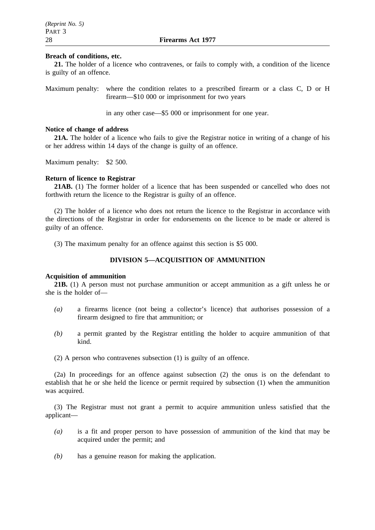#### **Breach of conditions, etc.**

**21.** The holder of a licence who contravenes, or fails to comply with, a condition of the licence is guilty of an offence.

Maximum penalty: where the condition relates to a prescribed firearm or a class C, D or H firearm—\$10 000 or imprisonment for two years

in any other case—\$5 000 or imprisonment for one year.

## **Notice of change of address**

**21A.** The holder of a licence who fails to give the Registrar notice in writing of a change of his or her address within 14 days of the change is guilty of an offence.

Maximum penalty: \$2 500.

#### **Return of licence to Registrar**

**21AB.** (1) The former holder of a licence that has been suspended or cancelled who does not forthwith return the licence to the Registrar is guilty of an offence.

(2) The holder of a licence who does not return the licence to the Registrar in accordance with the directions of the Registrar in order for endorsements on the licence to be made or altered is guilty of an offence.

(3) The maximum penalty for an offence against this section is \$5 000.

## **DIVISION 5—ACQUISITION OF AMMUNITION**

#### **Acquisition of ammunition**

**21B.** (1) A person must not purchase ammunition or accept ammunition as a gift unless he or she is the holder of—

- *(a)* a firearms licence (not being a collector's licence) that authorises possession of a firearm designed to fire that ammunition; or
- *(b)* a permit granted by the Registrar entitling the holder to acquire ammunition of that kind.
- (2) A person who contravenes subsection (1) is guilty of an offence.

(2a) In proceedings for an offence against subsection (2) the onus is on the defendant to establish that he or she held the licence or permit required by subsection (1) when the ammunition was acquired.

(3) The Registrar must not grant a permit to acquire ammunition unless satisfied that the applicant—

- *(a)* is a fit and proper person to have possession of ammunition of the kind that may be acquired under the permit; and
- *(b)* has a genuine reason for making the application.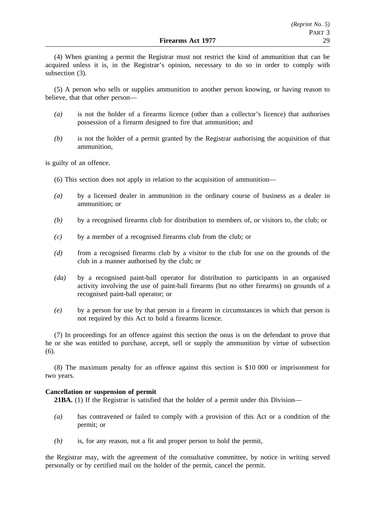(4) When granting a permit the Registrar must not restrict the kind of ammunition that can be acquired unless it is, in the Registrar's opinion, necessary to do so in order to comply with subsection (3).

(5) A person who sells or supplies ammunition to another person knowing, or having reason to believe, that that other person—

- *(a)* is not the holder of a firearms licence (other than a collector's licence) that authorises possession of a firearm designed to fire that ammunition; and
- *(b)* is not the holder of a permit granted by the Registrar authorising the acquisition of that ammunition,

is guilty of an offence.

- (6) This section does not apply in relation to the acquisition of ammunition—
- *(a)* by a licensed dealer in ammunition in the ordinary course of business as a dealer in ammunition; or
- *(b)* by a recognised firearms club for distribution to members of, or visitors to, the club; or
- *(c)* by a member of a recognised firearms club from the club; or
- *(d)* from a recognised firearms club by a visitor to the club for use on the grounds of the club in a manner authorised by the club; or
- *(da)* by a recognised paint-ball operator for distribution to participants in an organised activity involving the use of paint-ball firearms (but no other firearms) on grounds of a recognised paint-ball operator; or
- *(e)* by a person for use by that person in a firearm in circumstances in which that person is not required by this Act to hold a firearms licence.

(7) In proceedings for an offence against this section the onus is on the defendant to prove that he or she was entitled to purchase, accept, sell or supply the ammunition by virtue of subsection (6).

(8) The maximum penalty for an offence against this section is \$10 000 or imprisonment for two years.

#### **Cancellation or suspension of permit**

**21BA.** (1) If the Registrar is satisfied that the holder of a permit under this Division—

- *(a)* has contravened or failed to comply with a provision of this Act or a condition of the permit; or
- *(b)* is, for any reason, not a fit and proper person to hold the permit,

the Registrar may, with the agreement of the consultative committee, by notice in writing served personally or by certified mail on the holder of the permit, cancel the permit.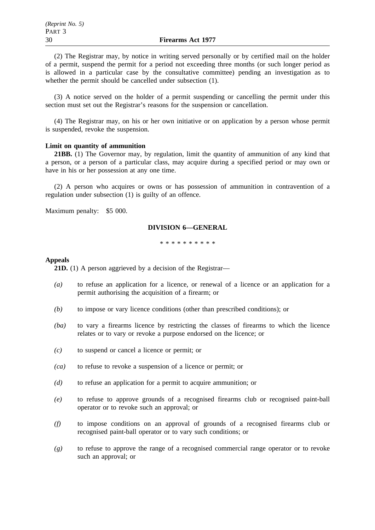(2) The Registrar may, by notice in writing served personally or by certified mail on the holder of a permit, suspend the permit for a period not exceeding three months (or such longer period as is allowed in a particular case by the consultative committee) pending an investigation as to whether the permit should be cancelled under subsection (1).

(3) A notice served on the holder of a permit suspending or cancelling the permit under this section must set out the Registrar's reasons for the suspension or cancellation.

(4) The Registrar may, on his or her own initiative or on application by a person whose permit is suspended, revoke the suspension.

#### **Limit on quantity of ammunition**

**21BB.** (1) The Governor may, by regulation, limit the quantity of ammunition of any kind that a person, or a person of a particular class, may acquire during a specified period or may own or have in his or her possession at any one time.

(2) A person who acquires or owns or has possession of ammunition in contravention of a regulation under subsection (1) is guilty of an offence.

Maximum penalty: \$5 000.

## **DIVISION 6—GENERAL**

\*\*\*\*\*\*\*\*\*\*

#### **Appeals**

**21D.** (1) A person aggrieved by a decision of the Registrar—

- *(a)* to refuse an application for a licence, or renewal of a licence or an application for a permit authorising the acquisition of a firearm; or
- *(b)* to impose or vary licence conditions (other than prescribed conditions); or
- *(ba)* to vary a firearms licence by restricting the classes of firearms to which the licence relates or to vary or revoke a purpose endorsed on the licence; or
- *(c)* to suspend or cancel a licence or permit; or
- *(ca)* to refuse to revoke a suspension of a licence or permit; or
- *(d)* to refuse an application for a permit to acquire ammunition; or
- *(e)* to refuse to approve grounds of a recognised firearms club or recognised paint-ball operator or to revoke such an approval; or
- *(f)* to impose conditions on an approval of grounds of a recognised firearms club or recognised paint-ball operator or to vary such conditions; or
- *(g)* to refuse to approve the range of a recognised commercial range operator or to revoke such an approval; or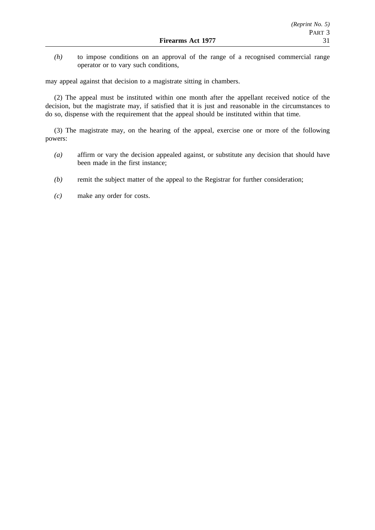*(h)* to impose conditions on an approval of the range of a recognised commercial range operator or to vary such conditions,

may appeal against that decision to a magistrate sitting in chambers.

(2) The appeal must be instituted within one month after the appellant received notice of the decision, but the magistrate may, if satisfied that it is just and reasonable in the circumstances to do so, dispense with the requirement that the appeal should be instituted within that time.

(3) The magistrate may, on the hearing of the appeal, exercise one or more of the following powers:

- *(a)* affirm or vary the decision appealed against, or substitute any decision that should have been made in the first instance;
- *(b)* remit the subject matter of the appeal to the Registrar for further consideration;
- *(c)* make any order for costs.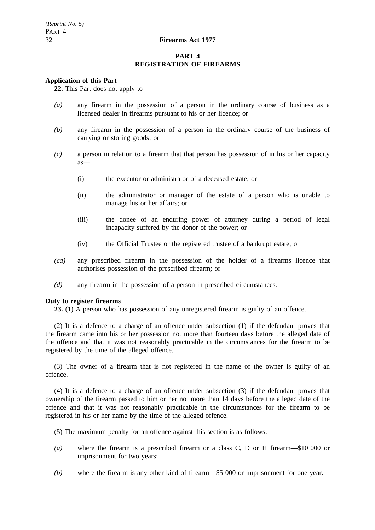## **PART 4 REGISTRATION OF FIREARMS**

#### **Application of this Part**

**22.** This Part does not apply to—

- *(a)* any firearm in the possession of a person in the ordinary course of business as a licensed dealer in firearms pursuant to his or her licence; or
- *(b)* any firearm in the possession of a person in the ordinary course of the business of carrying or storing goods; or
- *(c)* a person in relation to a firearm that that person has possession of in his or her capacity as—
	- (i) the executor or administrator of a deceased estate; or
	- (ii) the administrator or manager of the estate of a person who is unable to manage his or her affairs; or
	- (iii) the donee of an enduring power of attorney during a period of legal incapacity suffered by the donor of the power; or
	- (iv) the Official Trustee or the registered trustee of a bankrupt estate; or
- *(ca)* any prescribed firearm in the possession of the holder of a firearms licence that authorises possession of the prescribed firearm; or
- *(d)* any firearm in the possession of a person in prescribed circumstances.

## **Duty to register firearms**

**23.** (1) A person who has possession of any unregistered firearm is guilty of an offence.

(2) It is a defence to a charge of an offence under subsection (1) if the defendant proves that the firearm came into his or her possession not more than fourteen days before the alleged date of the offence and that it was not reasonably practicable in the circumstances for the firearm to be registered by the time of the alleged offence.

(3) The owner of a firearm that is not registered in the name of the owner is guilty of an offence.

(4) It is a defence to a charge of an offence under subsection (3) if the defendant proves that ownership of the firearm passed to him or her not more than 14 days before the alleged date of the offence and that it was not reasonably practicable in the circumstances for the firearm to be registered in his or her name by the time of the alleged offence.

- (5) The maximum penalty for an offence against this section is as follows:
- *(a)* where the firearm is a prescribed firearm or a class C, D or H firearm—\$10 000 or imprisonment for two years;
- *(b)* where the firearm is any other kind of firearm—\$5 000 or imprisonment for one year.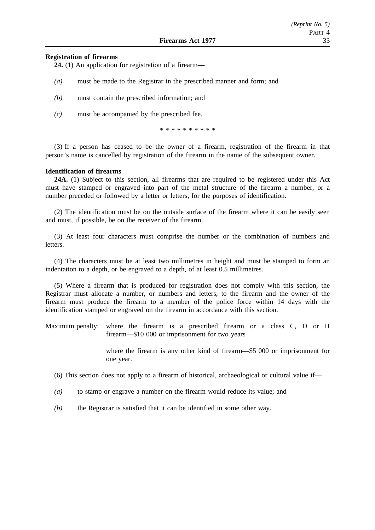### **Registration of firearms**

**24.** (1) An application for registration of a firearm—

- *(a)* must be made to the Registrar in the prescribed manner and form; and
- *(b)* must contain the prescribed information; and
- *(c)* must be accompanied by the prescribed fee.

\*\*\*\*\*\*\*\*\*\*

(3) If a person has ceased to be the owner of a firearm, registration of the firearm in that person's name is cancelled by registration of the firearm in the name of the subsequent owner.

#### **Identification of firearms**

**24A.** (1) Subject to this section, all firearms that are required to be registered under this Act must have stamped or engraved into part of the metal structure of the firearm a number, or a number preceded or followed by a letter or letters, for the purposes of identification.

(2) The identification must be on the outside surface of the firearm where it can be easily seen and must, if possible, be on the receiver of the firearm.

(3) At least four characters must comprise the number or the combination of numbers and letters.

(4) The characters must be at least two millimetres in height and must be stamped to form an indentation to a depth, or be engraved to a depth, of at least 0.5 millimetres.

(5) Where a firearm that is produced for registration does not comply with this section, the Registrar must allocate a number, or numbers and letters, to the firearm and the owner of the firearm must produce the firearm to a member of the police force within 14 days with the identification stamped or engraved on the firearm in accordance with this section.

Maximum penalty: where the firearm is a prescribed firearm or a class C, D or H firearm—\$10 000 or imprisonment for two years

> where the firearm is any other kind of firearm—\$5 000 or imprisonment for one year.

(6) This section does not apply to a firearm of historical, archaeological or cultural value if—

- *(a)* to stamp or engrave a number on the firearm would reduce its value; and
- *(b)* the Registrar is satisfied that it can be identified in some other way.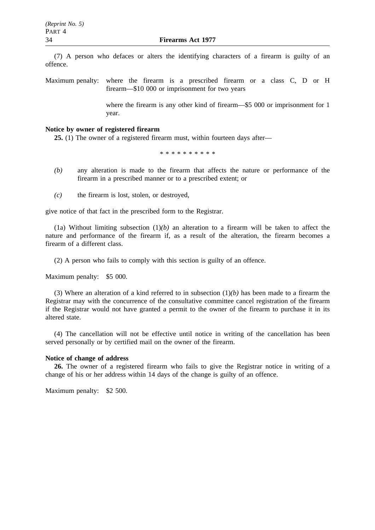(7) A person who defaces or alters the identifying characters of a firearm is guilty of an offence.

Maximum penalty: where the firearm is a prescribed firearm or a class C, D or H firearm—\$10 000 or imprisonment for two years

> where the firearm is any other kind of firearm—\$5 000 or imprisonment for 1 year.

## **Notice by owner of registered firearm**

**25.** (1) The owner of a registered firearm must, within fourteen days after—

\*\*\*\*\*\*\*\*\*\*

- *(b)* any alteration is made to the firearm that affects the nature or performance of the firearm in a prescribed manner or to a prescribed extent; or
- *(c)* the firearm is lost, stolen, or destroyed,

give notice of that fact in the prescribed form to the Registrar.

(1a) Without limiting subsection  $(1)(b)$  an alteration to a firearm will be taken to affect the nature and performance of the firearm if, as a result of the alteration, the firearm becomes a firearm of a different class.

(2) A person who fails to comply with this section is guilty of an offence.

Maximum penalty: \$5 000.

(3) Where an alteration of a kind referred to in subsection  $(1)(b)$  has been made to a firearm the Registrar may with the concurrence of the consultative committee cancel registration of the firearm if the Registrar would not have granted a permit to the owner of the firearm to purchase it in its altered state.

(4) The cancellation will not be effective until notice in writing of the cancellation has been served personally or by certified mail on the owner of the firearm.

#### **Notice of change of address**

**26.** The owner of a registered firearm who fails to give the Registrar notice in writing of a change of his or her address within 14 days of the change is guilty of an offence.

Maximum penalty: \$2 500.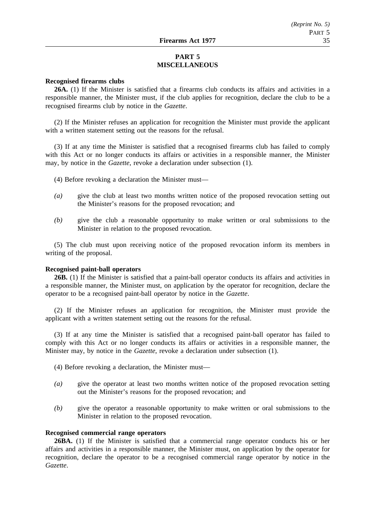# **PART 5 MISCELLANEOUS**

## **Recognised firearms clubs**

**26A.** (1) If the Minister is satisfied that a firearms club conducts its affairs and activities in a responsible manner, the Minister must, if the club applies for recognition, declare the club to be a recognised firearms club by notice in the *Gazette*.

(2) If the Minister refuses an application for recognition the Minister must provide the applicant with a written statement setting out the reasons for the refusal.

(3) If at any time the Minister is satisfied that a recognised firearms club has failed to comply with this Act or no longer conducts its affairs or activities in a responsible manner, the Minister may, by notice in the *Gazette*, revoke a declaration under subsection (1).

(4) Before revoking a declaration the Minister must—

- *(a)* give the club at least two months written notice of the proposed revocation setting out the Minister's reasons for the proposed revocation; and
- *(b)* give the club a reasonable opportunity to make written or oral submissions to the Minister in relation to the proposed revocation.

(5) The club must upon receiving notice of the proposed revocation inform its members in writing of the proposal.

#### **Recognised paint-ball operators**

**26B.** (1) If the Minister is satisfied that a paint-ball operator conducts its affairs and activities in a responsible manner, the Minister must, on application by the operator for recognition, declare the operator to be a recognised paint-ball operator by notice in the *Gazette*.

(2) If the Minister refuses an application for recognition, the Minister must provide the applicant with a written statement setting out the reasons for the refusal.

(3) If at any time the Minister is satisfied that a recognised paint-ball operator has failed to comply with this Act or no longer conducts its affairs or activities in a responsible manner, the Minister may, by notice in the *Gazette*, revoke a declaration under subsection (1).

- (4) Before revoking a declaration, the Minister must—
- *(a)* give the operator at least two months written notice of the proposed revocation setting out the Minister's reasons for the proposed revocation; and
- *(b)* give the operator a reasonable opportunity to make written or oral submissions to the Minister in relation to the proposed revocation.

#### **Recognised commercial range operators**

**26BA.** (1) If the Minister is satisfied that a commercial range operator conducts his or her affairs and activities in a responsible manner, the Minister must, on application by the operator for recognition, declare the operator to be a recognised commercial range operator by notice in the *Gazette*.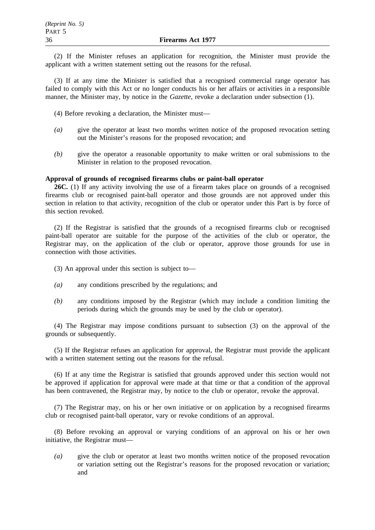(2) If the Minister refuses an application for recognition, the Minister must provide the applicant with a written statement setting out the reasons for the refusal.

(3) If at any time the Minister is satisfied that a recognised commercial range operator has failed to comply with this Act or no longer conducts his or her affairs or activities in a responsible manner, the Minister may, by notice in the *Gazette*, revoke a declaration under subsection (1).

- (4) Before revoking a declaration, the Minister must—
- *(a)* give the operator at least two months written notice of the proposed revocation setting out the Minister's reasons for the proposed revocation; and
- *(b)* give the operator a reasonable opportunity to make written or oral submissions to the Minister in relation to the proposed revocation.

#### **Approval of grounds of recognised firearms clubs or paint-ball operator**

**26C.** (1) If any activity involving the use of a firearm takes place on grounds of a recognised firearms club or recognised paint-ball operator and those grounds are not approved under this section in relation to that activity, recognition of the club or operator under this Part is by force of this section revoked.

(2) If the Registrar is satisfied that the grounds of a recognised firearms club or recognised paint-ball operator are suitable for the purpose of the activities of the club or operator, the Registrar may, on the application of the club or operator, approve those grounds for use in connection with those activities.

- (3) An approval under this section is subject to—
- *(a)* any conditions prescribed by the regulations; and
- *(b)* any conditions imposed by the Registrar (which may include a condition limiting the periods during which the grounds may be used by the club or operator).

(4) The Registrar may impose conditions pursuant to subsection (3) on the approval of the grounds or subsequently.

(5) If the Registrar refuses an application for approval, the Registrar must provide the applicant with a written statement setting out the reasons for the refusal.

(6) If at any time the Registrar is satisfied that grounds approved under this section would not be approved if application for approval were made at that time or that a condition of the approval has been contravened, the Registrar may, by notice to the club or operator, revoke the approval.

(7) The Registrar may, on his or her own initiative or on application by a recognised firearms club or recognised paint-ball operator, vary or revoke conditions of an approval.

(8) Before revoking an approval or varying conditions of an approval on his or her own initiative, the Registrar must—

*(a)* give the club or operator at least two months written notice of the proposed revocation or variation setting out the Registrar's reasons for the proposed revocation or variation; and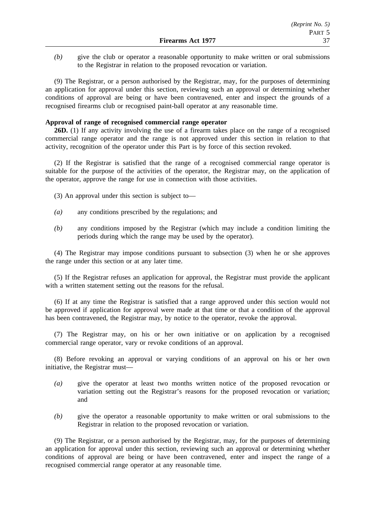*(b)* give the club or operator a reasonable opportunity to make written or oral submissions to the Registrar in relation to the proposed revocation or variation.

(9) The Registrar, or a person authorised by the Registrar, may, for the purposes of determining an application for approval under this section, reviewing such an approval or determining whether conditions of approval are being or have been contravened, enter and inspect the grounds of a recognised firearms club or recognised paint-ball operator at any reasonable time.

## **Approval of range of recognised commercial range operator**

**26D.** (1) If any activity involving the use of a firearm takes place on the range of a recognised commercial range operator and the range is not approved under this section in relation to that activity, recognition of the operator under this Part is by force of this section revoked.

(2) If the Registrar is satisfied that the range of a recognised commercial range operator is suitable for the purpose of the activities of the operator, the Registrar may, on the application of the operator, approve the range for use in connection with those activities.

- (3) An approval under this section is subject to—
- *(a)* any conditions prescribed by the regulations; and
- *(b)* any conditions imposed by the Registrar (which may include a condition limiting the periods during which the range may be used by the operator).

(4) The Registrar may impose conditions pursuant to subsection (3) when he or she approves the range under this section or at any later time.

(5) If the Registrar refuses an application for approval, the Registrar must provide the applicant with a written statement setting out the reasons for the refusal.

(6) If at any time the Registrar is satisfied that a range approved under this section would not be approved if application for approval were made at that time or that a condition of the approval has been contravened, the Registrar may, by notice to the operator, revoke the approval.

(7) The Registrar may, on his or her own initiative or on application by a recognised commercial range operator, vary or revoke conditions of an approval.

(8) Before revoking an approval or varying conditions of an approval on his or her own initiative, the Registrar must—

- *(a)* give the operator at least two months written notice of the proposed revocation or variation setting out the Registrar's reasons for the proposed revocation or variation; and
- *(b)* give the operator a reasonable opportunity to make written or oral submissions to the Registrar in relation to the proposed revocation or variation.

(9) The Registrar, or a person authorised by the Registrar, may, for the purposes of determining an application for approval under this section, reviewing such an approval or determining whether conditions of approval are being or have been contravened, enter and inspect the range of a recognised commercial range operator at any reasonable time.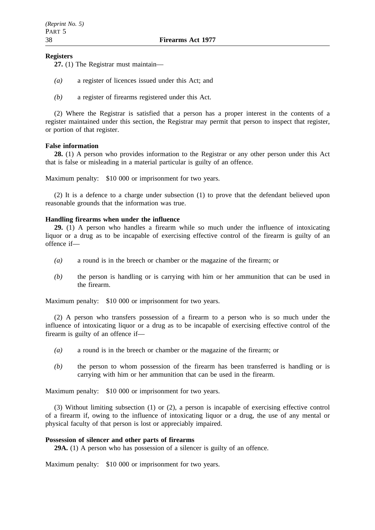## **Registers**

**27.** (1) The Registrar must maintain—

- *(a)* a register of licences issued under this Act; and
- *(b)* a register of firearms registered under this Act.

(2) Where the Registrar is satisfied that a person has a proper interest in the contents of a register maintained under this section, the Registrar may permit that person to inspect that register, or portion of that register.

## **False information**

**28.** (1) A person who provides information to the Registrar or any other person under this Act that is false or misleading in a material particular is guilty of an offence.

Maximum penalty: \$10 000 or imprisonment for two years.

(2) It is a defence to a charge under subsection (1) to prove that the defendant believed upon reasonable grounds that the information was true.

## **Handling firearms when under the influence**

**29.** (1) A person who handles a firearm while so much under the influence of intoxicating liquor or a drug as to be incapable of exercising effective control of the firearm is guilty of an offence if—

- *(a)* a round is in the breech or chamber or the magazine of the firearm; or
- *(b)* the person is handling or is carrying with him or her ammunition that can be used in the firearm.

Maximum penalty: \$10 000 or imprisonment for two years.

(2) A person who transfers possession of a firearm to a person who is so much under the influence of intoxicating liquor or a drug as to be incapable of exercising effective control of the firearm is guilty of an offence if—

- *(a)* a round is in the breech or chamber or the magazine of the firearm; or
- *(b)* the person to whom possession of the firearm has been transferred is handling or is carrying with him or her ammunition that can be used in the firearm.

Maximum penalty: \$10 000 or imprisonment for two years.

(3) Without limiting subsection (1) or (2), a person is incapable of exercising effective control of a firearm if, owing to the influence of intoxicating liquor or a drug, the use of any mental or physical faculty of that person is lost or appreciably impaired.

#### **Possession of silencer and other parts of firearms**

**29A.** (1) A person who has possession of a silencer is guilty of an offence.

Maximum penalty: \$10 000 or imprisonment for two years.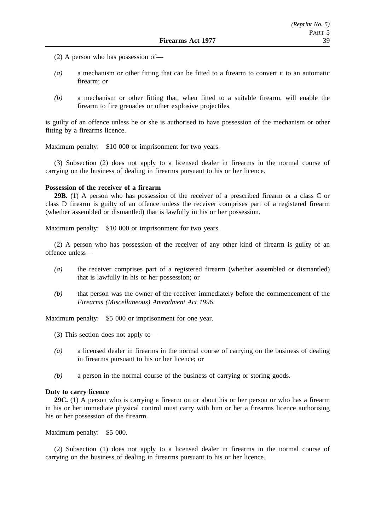- (2) A person who has possession of—
- *(a)* a mechanism or other fitting that can be fitted to a firearm to convert it to an automatic firearm; or
- *(b)* a mechanism or other fitting that, when fitted to a suitable firearm, will enable the firearm to fire grenades or other explosive projectiles,

is guilty of an offence unless he or she is authorised to have possession of the mechanism or other fitting by a firearms licence.

Maximum penalty: \$10 000 or imprisonment for two years.

(3) Subsection (2) does not apply to a licensed dealer in firearms in the normal course of carrying on the business of dealing in firearms pursuant to his or her licence.

#### **Possession of the receiver of a firearm**

**29B.** (1) A person who has possession of the receiver of a prescribed firearm or a class C or class D firearm is guilty of an offence unless the receiver comprises part of a registered firearm (whether assembled or dismantled) that is lawfully in his or her possession.

Maximum penalty: \$10 000 or imprisonment for two years.

(2) A person who has possession of the receiver of any other kind of firearm is guilty of an offence unless—

- *(a)* the receiver comprises part of a registered firearm (whether assembled or dismantled) that is lawfully in his or her possession; or
- *(b)* that person was the owner of the receiver immediately before the commencement of the *Firearms (Miscellaneous) Amendment Act 1996*.

Maximum penalty: \$5 000 or imprisonment for one year.

- (3) This section does not apply to—
- *(a)* a licensed dealer in firearms in the normal course of carrying on the business of dealing in firearms pursuant to his or her licence; or
- *(b)* a person in the normal course of the business of carrying or storing goods.

#### **Duty to carry licence**

**29C.** (1) A person who is carrying a firearm on or about his or her person or who has a firearm in his or her immediate physical control must carry with him or her a firearms licence authorising his or her possession of the firearm.

Maximum penalty: \$5 000.

(2) Subsection (1) does not apply to a licensed dealer in firearms in the normal course of carrying on the business of dealing in firearms pursuant to his or her licence.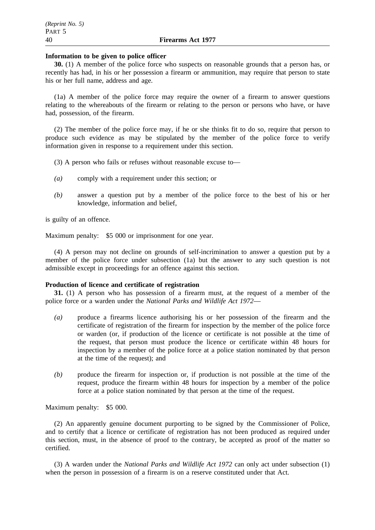#### **Information to be given to police officer**

**30.** (1) A member of the police force who suspects on reasonable grounds that a person has, or recently has had, in his or her possession a firearm or ammunition, may require that person to state his or her full name, address and age.

(1a) A member of the police force may require the owner of a firearm to answer questions relating to the whereabouts of the firearm or relating to the person or persons who have, or have had, possession, of the firearm.

(2) The member of the police force may, if he or she thinks fit to do so, require that person to produce such evidence as may be stipulated by the member of the police force to verify information given in response to a requirement under this section.

(3) A person who fails or refuses without reasonable excuse to—

- *(a)* comply with a requirement under this section; or
- *(b)* answer a question put by a member of the police force to the best of his or her knowledge, information and belief,

is guilty of an offence.

Maximum penalty: \$5 000 or imprisonment for one year.

(4) A person may not decline on grounds of self-incrimination to answer a question put by a member of the police force under subsection (1a) but the answer to any such question is not admissible except in proceedings for an offence against this section.

#### **Production of licence and certificate of registration**

**31.** (1) A person who has possession of a firearm must, at the request of a member of the police force or a warden under the *National Parks and Wildlife Act 1972*—

- *(a)* produce a firearms licence authorising his or her possession of the firearm and the certificate of registration of the firearm for inspection by the member of the police force or warden (or, if production of the licence or certificate is not possible at the time of the request, that person must produce the licence or certificate within 48 hours for inspection by a member of the police force at a police station nominated by that person at the time of the request); and
- *(b)* produce the firearm for inspection or, if production is not possible at the time of the request, produce the firearm within 48 hours for inspection by a member of the police force at a police station nominated by that person at the time of the request.

Maximum penalty: \$5 000.

(2) An apparently genuine document purporting to be signed by the Commissioner of Police, and to certify that a licence or certificate of registration has not been produced as required under this section, must, in the absence of proof to the contrary, be accepted as proof of the matter so certified.

(3) A warden under the *National Parks and Wildlife Act 1972* can only act under subsection (1) when the person in possession of a firearm is on a reserve constituted under that Act.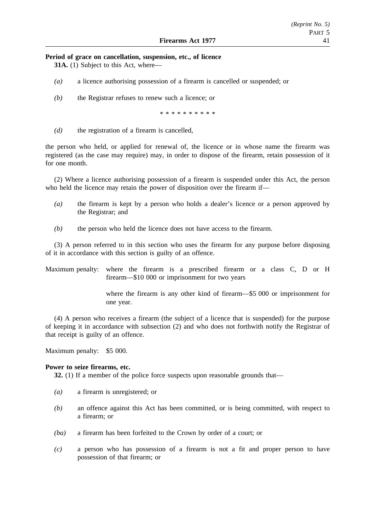#### **Period of grace on cancellation, suspension, etc., of licence**

**31A.** (1) Subject to this Act, where—

- *(a)* a licence authorising possession of a firearm is cancelled or suspended; or
- *(b)* the Registrar refuses to renew such a licence; or

\*\*\*\*\*\*\*\*\*\*

*(d)* the registration of a firearm is cancelled,

the person who held, or applied for renewal of, the licence or in whose name the firearm was registered (as the case may require) may, in order to dispose of the firearm, retain possession of it for one month.

(2) Where a licence authorising possession of a firearm is suspended under this Act, the person who held the licence may retain the power of disposition over the firearm if—

- *(a)* the firearm is kept by a person who holds a dealer's licence or a person approved by the Registrar; and
- *(b)* the person who held the licence does not have access to the firearm.

(3) A person referred to in this section who uses the firearm for any purpose before disposing of it in accordance with this section is guilty of an offence.

Maximum penalty: where the firearm is a prescribed firearm or a class C, D or H firearm—\$10 000 or imprisonment for two years

> where the firearm is any other kind of firearm—\$5 000 or imprisonment for one year.

(4) A person who receives a firearm (the subject of a licence that is suspended) for the purpose of keeping it in accordance with subsection (2) and who does not forthwith notify the Registrar of that receipt is guilty of an offence.

Maximum penalty: \$5 000.

#### **Power to seize firearms, etc.**

**32.** (1) If a member of the police force suspects upon reasonable grounds that—

- *(a)* a firearm is unregistered; or
- *(b)* an offence against this Act has been committed, or is being committed, with respect to a firearm; or
- *(ba)* a firearm has been forfeited to the Crown by order of a court; or
- *(c)* a person who has possession of a firearm is not a fit and proper person to have possession of that firearm; or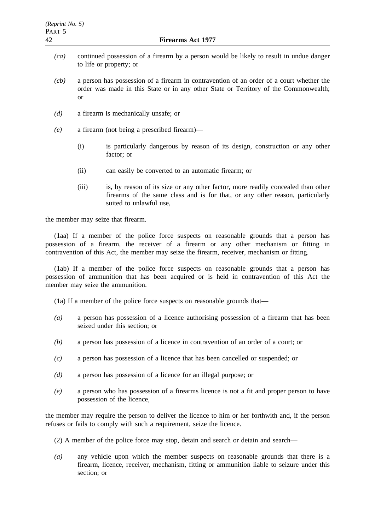- *(ca)* continued possession of a firearm by a person would be likely to result in undue danger to life or property; or
- *(cb)* a person has possession of a firearm in contravention of an order of a court whether the order was made in this State or in any other State or Territory of the Commonwealth; or
- *(d)* a firearm is mechanically unsafe; or
- *(e)* a firearm (not being a prescribed firearm)—
	- (i) is particularly dangerous by reason of its design, construction or any other factor; or
	- (ii) can easily be converted to an automatic firearm; or
	- (iii) is, by reason of its size or any other factor, more readily concealed than other firearms of the same class and is for that, or any other reason, particularly suited to unlawful use,

the member may seize that firearm.

(1aa) If a member of the police force suspects on reasonable grounds that a person has possession of a firearm, the receiver of a firearm or any other mechanism or fitting in contravention of this Act, the member may seize the firearm, receiver, mechanism or fitting.

(1ab) If a member of the police force suspects on reasonable grounds that a person has possession of ammunition that has been acquired or is held in contravention of this Act the member may seize the ammunition.

(1a) If a member of the police force suspects on reasonable grounds that—

- *(a)* a person has possession of a licence authorising possession of a firearm that has been seized under this section; or
- *(b)* a person has possession of a licence in contravention of an order of a court; or
- *(c)* a person has possession of a licence that has been cancelled or suspended; or
- *(d)* a person has possession of a licence for an illegal purpose; or
- *(e)* a person who has possession of a firearms licence is not a fit and proper person to have possession of the licence,

the member may require the person to deliver the licence to him or her forthwith and, if the person refuses or fails to comply with such a requirement, seize the licence.

- (2) A member of the police force may stop, detain and search or detain and search—
- *(a)* any vehicle upon which the member suspects on reasonable grounds that there is a firearm, licence, receiver, mechanism, fitting or ammunition liable to seizure under this section; or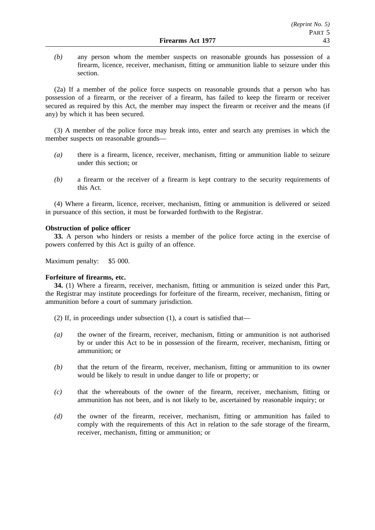*(b)* any person whom the member suspects on reasonable grounds has possession of a firearm, licence, receiver, mechanism, fitting or ammunition liable to seizure under this section.

(2a) If a member of the police force suspects on reasonable grounds that a person who has possession of a firearm, or the receiver of a firearm, has failed to keep the firearm or receiver secured as required by this Act, the member may inspect the firearm or receiver and the means (if any) by which it has been secured.

(3) A member of the police force may break into, enter and search any premises in which the member suspects on reasonable grounds—

- *(a)* there is a firearm, licence, receiver, mechanism, fitting or ammunition liable to seizure under this section; or
- *(b)* a firearm or the receiver of a firearm is kept contrary to the security requirements of this Act.

(4) Where a firearm, licence, receiver, mechanism, fitting or ammunition is delivered or seized in pursuance of this section, it must be forwarded forthwith to the Registrar.

## **Obstruction of police officer**

**33.** A person who hinders or resists a member of the police force acting in the exercise of powers conferred by this Act is guilty of an offence.

Maximum penalty: \$5 000.

## **Forfeiture of firearms, etc.**

**34.** (1) Where a firearm, receiver, mechanism, fitting or ammunition is seized under this Part, the Registrar may institute proceedings for forfeiture of the firearm, receiver, mechanism, fitting or ammunition before a court of summary jurisdiction.

(2) If, in proceedings under subsection (1), a court is satisfied that—

- *(a)* the owner of the firearm, receiver, mechanism, fitting or ammunition is not authorised by or under this Act to be in possession of the firearm, receiver, mechanism, fitting or ammunition; or
- *(b)* that the return of the firearm, receiver, mechanism, fitting or ammunition to its owner would be likely to result in undue danger to life or property; or
- *(c)* that the whereabouts of the owner of the firearm, receiver, mechanism, fitting or ammunition has not been, and is not likely to be, ascertained by reasonable inquiry; or
- *(d)* the owner of the firearm, receiver, mechanism, fitting or ammunition has failed to comply with the requirements of this Act in relation to the safe storage of the firearm, receiver, mechanism, fitting or ammunition; or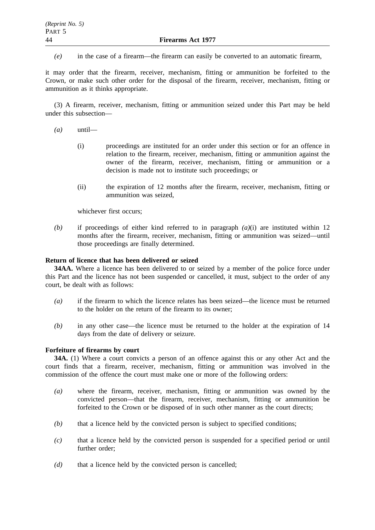*(e)* in the case of a firearm—the firearm can easily be converted to an automatic firearm,

it may order that the firearm, receiver, mechanism, fitting or ammunition be forfeited to the Crown, or make such other order for the disposal of the firearm, receiver, mechanism, fitting or ammunition as it thinks appropriate.

(3) A firearm, receiver, mechanism, fitting or ammunition seized under this Part may be held under this subsection—

- *(a)* until—
	- (i) proceedings are instituted for an order under this section or for an offence in relation to the firearm, receiver, mechanism, fitting or ammunition against the owner of the firearm, receiver, mechanism, fitting or ammunition or a decision is made not to institute such proceedings; or
	- (ii) the expiration of 12 months after the firearm, receiver, mechanism, fitting or ammunition was seized,

whichever first occurs;

*(b)* if proceedings of either kind referred to in paragraph *(a)*(i) are instituted within 12 months after the firearm, receiver, mechanism, fitting or ammunition was seized—until those proceedings are finally determined.

## **Return of licence that has been delivered or seized**

**34AA.** Where a licence has been delivered to or seized by a member of the police force under this Part and the licence has not been suspended or cancelled, it must, subject to the order of any court, be dealt with as follows:

- *(a)* if the firearm to which the licence relates has been seized—the licence must be returned to the holder on the return of the firearm to its owner;
- *(b)* in any other case—the licence must be returned to the holder at the expiration of 14 days from the date of delivery or seizure.

## **Forfeiture of firearms by court**

**34A.** (1) Where a court convicts a person of an offence against this or any other Act and the court finds that a firearm, receiver, mechanism, fitting or ammunition was involved in the commission of the offence the court must make one or more of the following orders:

- *(a)* where the firearm, receiver, mechanism, fitting or ammunition was owned by the convicted person—that the firearm, receiver, mechanism, fitting or ammunition be forfeited to the Crown or be disposed of in such other manner as the court directs;
- *(b)* that a licence held by the convicted person is subject to specified conditions;
- *(c)* that a licence held by the convicted person is suspended for a specified period or until further order;
- *(d)* that a licence held by the convicted person is cancelled;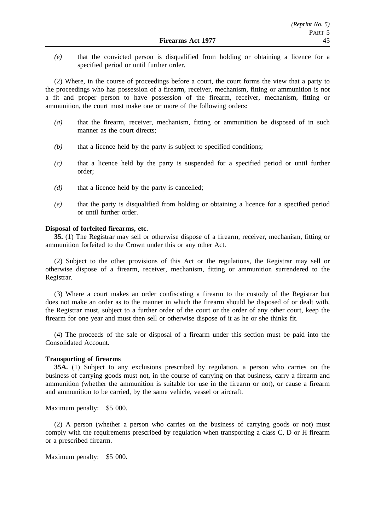*(e)* that the convicted person is disqualified from holding or obtaining a licence for a specified period or until further order.

(2) Where, in the course of proceedings before a court, the court forms the view that a party to the proceedings who has possession of a firearm, receiver, mechanism, fitting or ammunition is not a fit and proper person to have possession of the firearm, receiver, mechanism, fitting or ammunition, the court must make one or more of the following orders:

- *(a)* that the firearm, receiver, mechanism, fitting or ammunition be disposed of in such manner as the court directs;
- *(b)* that a licence held by the party is subject to specified conditions;
- *(c)* that a licence held by the party is suspended for a specified period or until further order;
- *(d)* that a licence held by the party is cancelled;
- *(e)* that the party is disqualified from holding or obtaining a licence for a specified period or until further order.

#### **Disposal of forfeited firearms, etc.**

**35.** (1) The Registrar may sell or otherwise dispose of a firearm, receiver, mechanism, fitting or ammunition forfeited to the Crown under this or any other Act.

(2) Subject to the other provisions of this Act or the regulations, the Registrar may sell or otherwise dispose of a firearm, receiver, mechanism, fitting or ammunition surrendered to the Registrar.

(3) Where a court makes an order confiscating a firearm to the custody of the Registrar but does not make an order as to the manner in which the firearm should be disposed of or dealt with, the Registrar must, subject to a further order of the court or the order of any other court, keep the firearm for one year and must then sell or otherwise dispose of it as he or she thinks fit.

(4) The proceeds of the sale or disposal of a firearm under this section must be paid into the Consolidated Account.

#### **Transporting of firearms**

**35A.** (1) Subject to any exclusions prescribed by regulation, a person who carries on the business of carrying goods must not, in the course of carrying on that business, carry a firearm and ammunition (whether the ammunition is suitable for use in the firearm or not), or cause a firearm and ammunition to be carried, by the same vehicle, vessel or aircraft.

Maximum penalty: \$5 000.

(2) A person (whether a person who carries on the business of carrying goods or not) must comply with the requirements prescribed by regulation when transporting a class C, D or H firearm or a prescribed firearm.

Maximum penalty: \$5 000.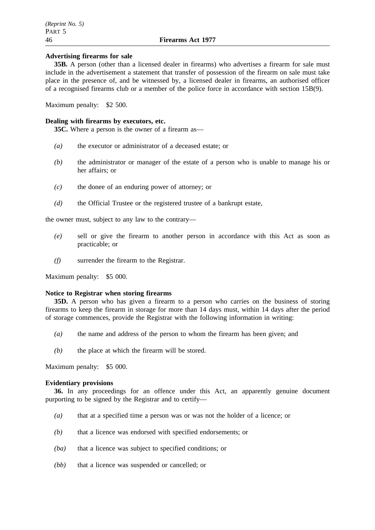#### **Advertising firearms for sale**

**35B.** A person (other than a licensed dealer in firearms) who advertises a firearm for sale must include in the advertisement a statement that transfer of possession of the firearm on sale must take place in the presence of, and be witnessed by, a licensed dealer in firearms, an authorised officer of a recognised firearms club or a member of the police force in accordance with section 15B(9).

Maximum penalty: \$2 500.

#### **Dealing with firearms by executors, etc.**

**35C.** Where a person is the owner of a firearm as—

- *(a)* the executor or administrator of a deceased estate; or
- *(b)* the administrator or manager of the estate of a person who is unable to manage his or her affairs; or
- *(c)* the donee of an enduring power of attorney; or
- *(d)* the Official Trustee or the registered trustee of a bankrupt estate,

the owner must, subject to any law to the contrary—

- *(e)* sell or give the firearm to another person in accordance with this Act as soon as practicable; or
- *(f)* surrender the firearm to the Registrar.

Maximum penalty: \$5 000.

#### **Notice to Registrar when storing firearms**

**35D.** A person who has given a firearm to a person who carries on the business of storing firearms to keep the firearm in storage for more than 14 days must, within 14 days after the period of storage commences, provide the Registrar with the following information in writing:

- *(a)* the name and address of the person to whom the firearm has been given; and
- *(b)* the place at which the firearm will be stored.

Maximum penalty: \$5 000.

#### **Evidentiary provisions**

**36.** In any proceedings for an offence under this Act, an apparently genuine document purporting to be signed by the Registrar and to certify—

- *(a)* that at a specified time a person was or was not the holder of a licence; or
- *(b)* that a licence was endorsed with specified endorsements; or
- *(ba)* that a licence was subject to specified conditions; or
- *(bb)* that a licence was suspended or cancelled; or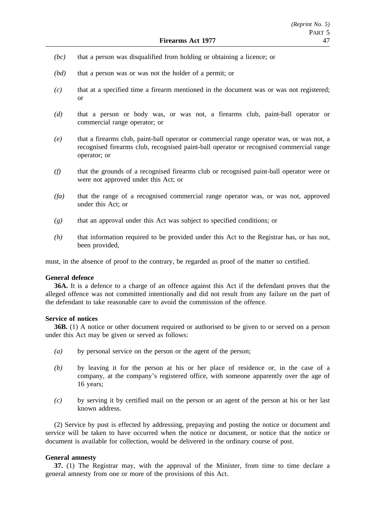- *(bc)* that a person was disqualified from holding or obtaining a licence; or
- *(bd)* that a person was or was not the holder of a permit; or
- *(c)* that at a specified time a firearm mentioned in the document was or was not registered; or
- *(d)* that a person or body was, or was not, a firearms club, paint-ball operator or commercial range operator; or
- *(e)* that a firearms club, paint-ball operator or commercial range operator was, or was not, a recognised firearms club, recognised paint-ball operator or recognised commercial range operator; or
- *(f)* that the grounds of a recognised firearms club or recognised paint-ball operator were or were not approved under this Act; or
- *(fa)* that the range of a recognised commercial range operator was, or was not, approved under this Act; or
- *(g)* that an approval under this Act was subject to specified conditions; or
- *(h)* that information required to be provided under this Act to the Registrar has, or has not, been provided,

must, in the absence of proof to the contrary, be regarded as proof of the matter so certified.

#### **General defence**

**36A.** It is a defence to a charge of an offence against this Act if the defendant proves that the alleged offence was not committed intentionally and did not result from any failure on the part of the defendant to take reasonable care to avoid the commission of the offence.

## **Service of notices**

**36B.** (1) A notice or other document required or authorised to be given to or served on a person under this Act may be given or served as follows:

- *(a)* by personal service on the person or the agent of the person;
- *(b)* by leaving it for the person at his or her place of residence or, in the case of a company, at the company's registered office, with someone apparently over the age of 16 years;
- *(c)* by serving it by certified mail on the person or an agent of the person at his or her last known address.

(2) Service by post is effected by addressing, prepaying and posting the notice or document and service will be taken to have occurred when the notice or document, or notice that the notice or document is available for collection, would be delivered in the ordinary course of post.

## **General amnesty**

**37.** (1) The Registrar may, with the approval of the Minister, from time to time declare a general amnesty from one or more of the provisions of this Act.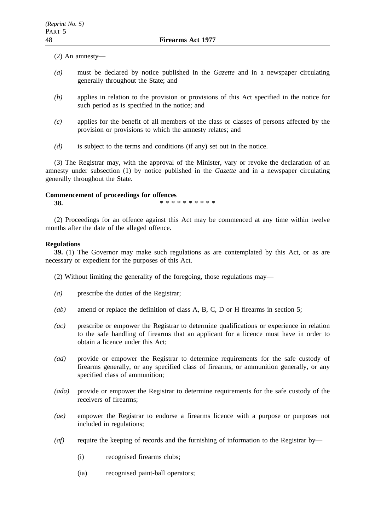(2) An amnesty—

- *(a)* must be declared by notice published in the *Gazette* and in a newspaper circulating generally throughout the State; and
- *(b)* applies in relation to the provision or provisions of this Act specified in the notice for such period as is specified in the notice; and
- *(c)* applies for the benefit of all members of the class or classes of persons affected by the provision or provisions to which the amnesty relates; and
- *(d)* is subject to the terms and conditions (if any) set out in the notice.

(3) The Registrar may, with the approval of the Minister, vary or revoke the declaration of an amnesty under subsection (1) by notice published in the *Gazette* and in a newspaper circulating generally throughout the State.

#### **Commencement of proceedings for offences**

**38.** \*\*\*\*\*\*\*\*\*\*\*

(2) Proceedings for an offence against this Act may be commenced at any time within twelve months after the date of the alleged offence.

## **Regulations**

**39.** (1) The Governor may make such regulations as are contemplated by this Act, or as are necessary or expedient for the purposes of this Act.

- (2) Without limiting the generality of the foregoing, those regulations may—
- *(a)* prescribe the duties of the Registrar;
- *(ab)* amend or replace the definition of class A, B, C, D or H firearms in section 5;
- *(ac)* prescribe or empower the Registrar to determine qualifications or experience in relation to the safe handling of firearms that an applicant for a licence must have in order to obtain a licence under this Act;
- *(ad)* provide or empower the Registrar to determine requirements for the safe custody of firearms generally, or any specified class of firearms, or ammunition generally, or any specified class of ammunition;
- *(ada)* provide or empower the Registrar to determine requirements for the safe custody of the receivers of firearms;
- *(ae)* empower the Registrar to endorse a firearms licence with a purpose or purposes not included in regulations;
- *(af)* require the keeping of records and the furnishing of information to the Registrar by—
	- (i) recognised firearms clubs;
	- (ia) recognised paint-ball operators;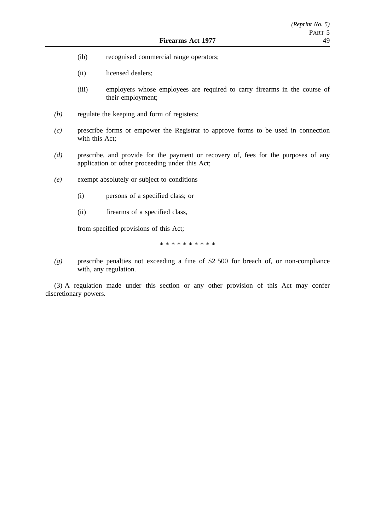- (ib) recognised commercial range operators;
- (ii) licensed dealers;
- (iii) employers whose employees are required to carry firearms in the course of their employment;
- *(b)* regulate the keeping and form of registers;
- *(c)* prescribe forms or empower the Registrar to approve forms to be used in connection with this Act;
- *(d)* prescribe, and provide for the payment or recovery of, fees for the purposes of any application or other proceeding under this Act;
- *(e)* exempt absolutely or subject to conditions—
	- (i) persons of a specified class; or
	- (ii) firearms of a specified class,

from specified provisions of this Act;

\*\*\*\*\*\*\*\*\*\*

*(g)* prescribe penalties not exceeding a fine of \$2 500 for breach of, or non-compliance with, any regulation.

(3) A regulation made under this section or any other provision of this Act may confer discretionary powers.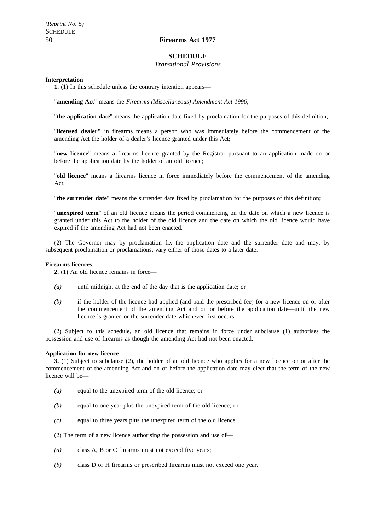## **SCHEDULE**

#### *Transitional Provisions*

#### **Interpretation**

**1.** (1) In this schedule unless the contrary intention appears—

"**amending Act**" means the *Firearms (Miscellaneous) Amendment Act 1996*;

"**the application date**" means the application date fixed by proclamation for the purposes of this definition;

"**licensed dealer"** in firearms means a person who was immediately before the commencement of the amending Act the holder of a dealer's licence granted under this Act;

"**new licence**" means a firearms licence granted by the Registrar pursuant to an application made on or before the application date by the holder of an old licence;

"**old licence**" means a firearms licence in force immediately before the commencement of the amending Act;

"**the surrender date**" means the surrender date fixed by proclamation for the purposes of this definition;

"**unexpired term**" of an old licence means the period commencing on the date on which a new licence is granted under this Act to the holder of the old licence and the date on which the old licence would have expired if the amending Act had not been enacted.

(2) The Governor may by proclamation fix the application date and the surrender date and may, by subsequent proclamation or proclamations, vary either of those dates to a later date.

#### **Firearms licences**

**2.** (1) An old licence remains in force—

- *(a)* until midnight at the end of the day that is the application date; or
- *(b)* if the holder of the licence had applied (and paid the prescribed fee) for a new licence on or after the commencement of the amending Act and on or before the application date—until the new licence is granted or the surrender date whichever first occurs.

(2) Subject to this schedule, an old licence that remains in force under subclause (1) authorises the possession and use of firearms as though the amending Act had not been enacted.

#### **Application for new licence**

**3.** (1) Subject to subclause (2), the holder of an old licence who applies for a new licence on or after the commencement of the amending Act and on or before the application date may elect that the term of the new licence will be—

- *(a)* equal to the unexpired term of the old licence; or
- *(b)* equal to one year plus the unexpired term of the old licence; or
- *(c)* equal to three years plus the unexpired term of the old licence.
- (2) The term of a new licence authorising the possession and use of—
- *(a)* class A, B or C firearms must not exceed five years;
- *(b)* class D or H firearms or prescribed firearms must not exceed one year.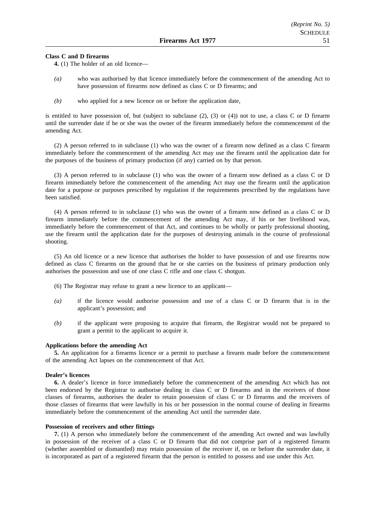#### **Class C and D firearms**

- **4.** (1) The holder of an old licence—
- *(a)* who was authorised by that licence immediately before the commencement of the amending Act to have possession of firearms now defined as class C or D firearms; and
- *(b)* who applied for a new licence on or before the application date,

is entitled to have possession of, but (subject to subclause  $(2)$ ,  $(3)$  or  $(4)$ ) not to use, a class C or D firearm until the surrender date if he or she was the owner of the firearm immediately before the commencement of the amending Act.

(2) A person referred to in subclause (1) who was the owner of a firearm now defined as a class C firearm immediately before the commencement of the amending Act may use the firearm until the application date for the purposes of the business of primary production (if any) carried on by that person.

(3) A person referred to in subclause (1) who was the owner of a firearm now defined as a class C or D firearm immediately before the commencement of the amending Act may use the firearm until the application date for a purpose or purposes prescribed by regulation if the requirements prescribed by the regulations have been satisfied.

(4) A person referred to in subclause (1) who was the owner of a firearm now defined as a class C or D firearm immediately before the commencement of the amending Act may, if his or her livelihood was, immediately before the commencement of that Act, and continues to be wholly or partly professional shooting, use the firearm until the application date for the purposes of destroying animals in the course of professional shooting.

(5) An old licence or a new licence that authorises the holder to have possession of and use firearms now defined as class C firearms on the ground that he or she carries on the business of primary production only authorises the possession and use of one class C rifle and one class C shotgun.

- (6) The Registrar may refuse to grant a new licence to an applicant—
- *(a)* if the licence would authorise possession and use of a class C or D firearm that is in the applicant's possession; and
- *(b)* if the applicant were proposing to acquire that firearm, the Registrar would not be prepared to grant a permit to the applicant to acquire it.

#### **Applications before the amending Act**

**5.** An application for a firearms licence or a permit to purchase a firearm made before the commencement of the amending Act lapses on the commencement of that Act.

#### **Dealer's licences**

**6.** A dealer's licence in force immediately before the commencement of the amending Act which has not been endorsed by the Registrar to authorise dealing in class C or D firearms and in the receivers of those classes of firearms, authorises the dealer to retain possession of class C or D firearms and the receivers of those classes of firearms that were lawfully in his or her possession in the normal course of dealing in firearms immediately before the commencement of the amending Act until the surrender date.

#### **Possession of receivers and other fittings**

**7.** (1) A person who immediately before the commencement of the amending Act owned and was lawfully in possession of the receiver of a class C or D firearm that did not comprise part of a registered firearm (whether assembled or dismantled) may retain possession of the receiver if, on or before the surrender date, it is incorporated as part of a registered firearm that the person is entitled to possess and use under this Act.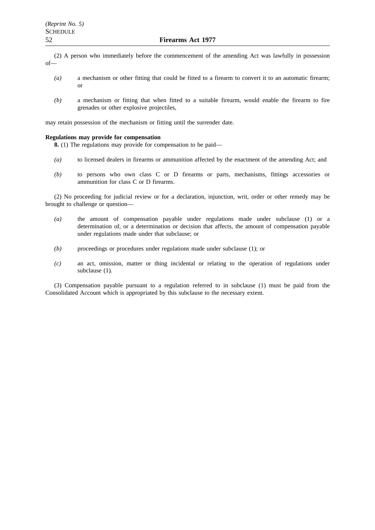(2) A person who immediately before the commencement of the amending Act was lawfully in possession of—

- *(a)* a mechanism or other fitting that could be fitted to a firearm to convert it to an automatic firearm; or
- *(b)* a mechanism or fitting that when fitted to a suitable firearm, would enable the firearm to fire grenades or other explosive projectiles,

may retain possession of the mechanism or fitting until the surrender date.

#### **Regulations may provide for compensation**

**8.** (1) The regulations may provide for compensation to be paid—

- *(a)* to licensed dealers in firearms or ammunition affected by the enactment of the amending Act; and
- *(b)* to persons who own class C or D firearms or parts, mechanisms, fittings accessories or ammunition for class C or D firearms.

(2) No proceeding for judicial review or for a declaration, injunction, writ, order or other remedy may be brought to challenge or question—

- *(a)* the amount of compensation payable under regulations made under subclause (1) or a determination of, or a determination or decision that affects, the amount of compensation payable under regulations made under that subclause; or
- *(b)* proceedings or procedures under regulations made under subclause (1); or
- *(c)* an act, omission, matter or thing incidental or relating to the operation of regulations under subclause (1).

(3) Compensation payable pursuant to a regulation referred to in subclause (1) must be paid from the Consolidated Account which is appropriated by this subclause to the necessary extent.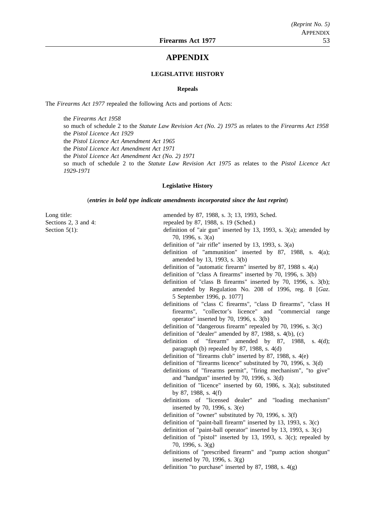## **APPENDIX**

#### **LEGISLATIVE HISTORY**

#### **Repeals**

The *Firearms Act 1977* repealed the following Acts and portions of Acts:

the *Firearms Act 1958* so much of schedule 2 to the *Statute Law Revision Act (No. 2) 1975* as relates to the *Firearms Act 1958* the *Pistol Licence Act 1929* the *Pistol Licence Act Amendment Act 1965* the *Pistol Licence Act Amendment Act 1971* the *Pistol Licence Act Amendment Act (No. 2) 1971* so much of schedule 2 to the *Statute Law Revision Act 1975* as relates to the *Pistol Licence Act 1929-1971*

#### **Legislative History**

(*entries in bold type indicate amendments incorporated since the last reprint*)

Long title: amended by 87, 1988, s. 3; 13, 1993, Sched.

Sections 2, 3 and 4: repealed by 87, 1988, s. 19 (Sched.)

Section 5(1): definition of "air gun" inserted by 13, 1993, s. 3(a); amended by 70, 1996, s. 3(a)

definition of "air rifle" inserted by 13, 1993, s. 3(a)

definition of "ammunition" inserted by 87, 1988, s. 4(a); amended by 13, 1993, s. 3(b)

definition of "automatic firearm" inserted by 87, 1988 s. 4(a)

- definition of "class A firearms" inserted by 70, 1996, s. 3(b)
- definition of "class B firearms" inserted by 70, 1996, s. 3(b);
	- amended by Regulation No. 208 of 1996, reg. 8 [*Gaz*. 5 September 1996, p. 1077]
- definitions of "class C firearms", "class D firearms", "class H firearms", "collector's licence" and "commercial range operator" inserted by 70, 1996, s. 3(b)
- definition of "dangerous firearm" repealed by 70, 1996, s. 3(c)

definition of "dealer" amended by 87, 1988, s. 4(b), (c)

- definition of "firearm" amended by 87, 1988, s. 4(d); paragraph (b) repealed by 87, 1988, s. 4(d)
- definition of "firearms club" inserted by 87, 1988, s. 4(e)
- definition of "firearms licence" substituted by 70, 1996, s. 3(d)
- definitions of "firearms permit", "firing mechanism", "to give" and "handgun" inserted by 70, 1996, s. 3(d)
- definition of "licence" inserted by 60, 1986, s. 3(a); substituted by 87, 1988, s. 4(f)
- definitions of "licensed dealer" and "loading mechanism" inserted by 70, 1996, s. 3(e)

definition of "owner" substituted by 70, 1996, s. 3(f)

- definition of "paint-ball firearm" inserted by 13, 1993, s. 3(c)
- definition of "paint-ball operator" inserted by 13, 1993, s. 3(c)
- definition of "pistol" inserted by 13, 1993, s. 3(c); repealed by 70, 1996, s. 3(g)
- definitions of "prescribed firearm" and "pump action shotgun" inserted by 70, 1996, s.  $3(g)$
- definition "to purchase" inserted by 87, 1988, s. 4(g)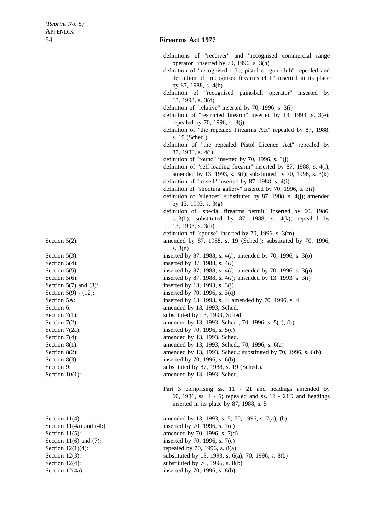Section  $5(2)$ :

- Section  $5(3)$ : Section  $5(4)$ : Section 5(5): Section 5(6): Section  $5(7)$  and  $(8)$ : Section  $5(9) - (12)$ : Section 5A: Section 6: Section  $7(1)$ : Section  $7(2)$ : Section  $7(2a)$ : Section  $7(4)$ : Section  $8(1)$ : Section  $8(2)$ : Section  $8(3)$ : Section 9: Section  $10(1)$ :
- Section  $11(4)$ : Section  $11(4a)$  and  $(4b)$ : Section  $11(5)$ : Section  $11(6)$  and  $(7)$ : Section  $12(1)(d)$ : Section 12(3): substituted by 13, 1993, s. 6(a); 70, 1996, s. 8(b) Section 12(4): substituted by 70, 1996, s. 8(b) Section 12(4a): inserted by 70, 1996, s. 8(b)

| definitions of "receiver" and "recognised commercial range                                                                                                                                     |  |
|------------------------------------------------------------------------------------------------------------------------------------------------------------------------------------------------|--|
| operator" inserted by 70, 1996, s. 3(h)<br>definition of "recognised rifle, pistol or gun club" repealed and<br>definition of "recognised firearms club" inserted in its place                 |  |
| by 87, 1988, s. 4(h)<br>definition of "recognised paint-ball operator" inserted by<br>13, 1993, s. 3(d)                                                                                        |  |
| definition of "relative" inserted by 70, 1996, s. 3(i)                                                                                                                                         |  |
| definition of "restricted firearm" inserted by 13, 1993, s. 3(e);<br>repealed by 70, 1996, s. 3(j)                                                                                             |  |
| definition of "the repealed Firearms Act" repealed by 87, 1988,<br>s. 19 (Sched.)                                                                                                              |  |
| definition of "the repealed Pistol Licence Act" repealed by<br>87, 1988, s. 4(i)                                                                                                               |  |
| definition of "round" inserted by 70, 1996, s. $3(j)$<br>definition of "self-loading firearm" inserted by 87, 1988, s. 4(i);<br>amended by 13, 1993, s. 3(f); substituted by 70, 1996, s. 3(k) |  |
| definition of "to sell" inserted by 87, 1988, s. 4(i)<br>definition of "shooting gallery" inserted by 70, 1996, s. 3(l)                                                                        |  |
| definition of "silencer" substituted by 87, 1988, s. 4(j); amended<br>by 13, 1993, s. $3(g)$                                                                                                   |  |
| definition of "special firearms permit" inserted by 60, 1986,<br>s. $3(b)$ ; substituted by 87, 1988, s. $4(k)$ ; repealed by<br>13, 1993, s. 3(h)                                             |  |
| definition of "spouse" inserted by 70, 1996, s. 3(m)<br>amended by 87, 1988, s. 19 (Sched.); substituted by 70, 1996,                                                                          |  |
| s. $3(n)$<br>inserted by 87, 1988, s. 4( <i>l</i> ); amended by 70, 1996, s. 3(o)<br>inserted by 87, 1988, s. 4(l)                                                                             |  |
| inserted by 87, 1988, s. $4(l)$ ; amended by 70, 1996, s. $3(p)$<br>inserted by 87, 1988, s. $4(l)$ ; amended by 13, 1993, s. $3(i)$                                                           |  |
| inserted by 13, 1993, s. 3(j)<br>inserted by 70, 1996, s. $3(q)$                                                                                                                               |  |
| inserted by 13, 1993, s. 4; amended by 70, 1996, s. 4<br>amended by 13, 1993, Sched.                                                                                                           |  |
| substituted by 13, 1993, Sched.<br>amended by 13, 1993, Sched.; 70, 1996, s. 5(a), (b)<br>inserted by 70, 1996, s. $5(c)$                                                                      |  |
| amended by 13, 1993, Sched.<br>amended by 13, 1993, Sched.; 70, 1996, s. 6(a)                                                                                                                  |  |
| amended by 13, 1993, Sched.; substituted by 70, 1996, s. 6(b)<br>inserted by 70, 1996, s. 6(b)                                                                                                 |  |
| substituted by 87, 1988, s. 19 (Sched.).<br>amended by 13, 1993, Sched.                                                                                                                        |  |
| Part 3 comprising ss. 11 - 21 and headings amended by<br>60, 1986, ss. 4 - 6; repealed and ss. 11 - 21D and headings<br>inserted in its place by 87, 1988, s. 5                                |  |
| amended by 13, 1993, s. 5; 70, 1996, s. 7(a), (b)<br>inserted by 70, 1996, s. 7(c)                                                                                                             |  |
| amended by 70, 1996, s. 7(d)                                                                                                                                                                   |  |
| inserted by 70, 1996, s. 7(e)<br>repealed by 70, 1996, s. 8(a)                                                                                                                                 |  |
| experimented by 12, 1002 $g(6)$ , 70, 1006 $g(8/6)$                                                                                                                                            |  |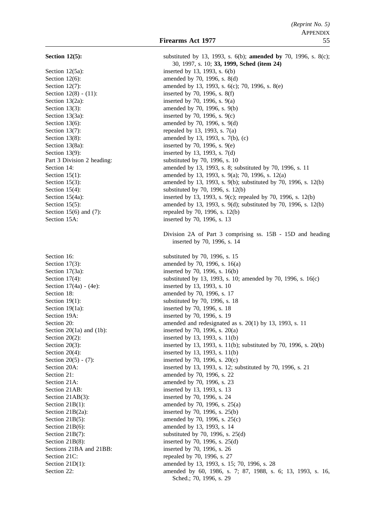**Section 12(5):** substituted by 13, 1993, s. 6(b); **amended by** 70, 1996, s. 8(c); 30, 1997, s. 10; **33, 1999, Sched (item 24)** Section 12(5a): inserted by 13, 1993, s. 6(b) Section 12(6): amended by 70, 1996, s. 8(d) Section 12(7): amended by 13, 1993, s. 6(c); 70, 1996, s. 8(e) Section 12(8) - (11): inserted by 70, 1996, s. 8(f) Section 13(2a): inserted by 70, 1996, s. 9(a) Section 13(3): amended by 70, 1996, s. 9(b) Section 13(3a): inserted by 70, 1996, s. 9(c) Section 13(6): amended by 70, 1996, s. 9(d) Section 13(7): repealed by 13, 1993, s.  $7(a)$ Section 13(8): amended by 13, 1993, s. 7(b), (c) Section 13(8a): inserted by 70, 1996, s. 9(e) Section 13(9): inserted by 13, 1993, s. 7(d) Part 3 Division 2 heading: substituted by 70, 1996, s. 10 Section 14: **amended** by 13, 1993, s. 8; substituted by 70, 1996, s. 11 Section 15(1): amended by 13, 1993, s. 9(a); 70, 1996, s. 12(a) Section 15(3): amended by 13, 1993, s. 9(b); substituted by 70, 1996, s. 12(b) Section 15(4): substituted by 70, 1996, s. 12(b) Section 15(4a): inserted by 13, 1993, s. 9(c); repealed by 70, 1996, s. 12(b) Section 15(5): amended by 13, 1993, s. 9(d); substituted by 70, 1996, s. 12(b) Section 15(6) and (7): repealed by 70, 1996, s. 12(b) Section 15A: inserted by 70, 1996, s. 13 Division 2A of Part 3 comprising ss. 15B - 15D and heading inserted by 70, 1996, s. 14 Section 16: substituted by 70, 1996, s. 15 Section 17(3): amended by 70, 1996, s. 16(a) Section 17(3a): inserted by 70, 1996, s. 16(b) Section 17(4): substituted by 13, 1993, s. 10; amended by 70, 1996, s. 16(c) Section 17(4a) - (4e): inserted by 13, 1993, s. 10 Section 18: **amended** by 70, 1996, s. 17 Section 19(1): substituted by 70, 1996, s. 18 Section 19(1a): inserted by 70, 1996, s. 18 Section 19A: inserted by 70, 1996, s. 19 Section 20: amended and redesignated as s. 20(1) by 13, 1993, s. 11 Section 20(1a) and (1b): inserted by 70, 1996, s.  $20(a)$ Section 20(2): inserted by 13, 1993, s. 11(b) Section 20(3): inserted by 13, 1993, s. 11(b); substituted by 70, 1996, s. 20(b) Section 20(4): inserted by 13, 1993, s. 11(b) Section 20(5) - (7): inserted by 70, 1996, s. 20(c) Section 20A: inserted by 13, 1993, s. 12; substituted by 70, 1996, s. 21 Section 21: **amended** by 70, 1996, s. 22 Section 21A: amended by 70, 1996, s. 23 Section 21AB: inserted by 13, 1993, s. 13 Section 21AB(3): inserted by 70, 1996, s. 24 Section 21B(1): amended by 70, 1996, s. 25(a) Section 21B(2a): inserted by 70, 1996, s. 25(b) Section 21B(5): amended by 70, 1996, s. 25(c) Section 21B(6): amended by 13, 1993, s. 14 Section 21B(7): substituted by 70, 1996, s.  $25(d)$ Section 21B(8): inserted by 70, 1996, s. 25(d) Sections 21BA and 21BB: inserted by 70, 1996, s. 26 Section 21C: repealed by 70, 1996, s. 27 Section 21D(1): amended by 13, 1993, s. 15; 70, 1996, s. 28 Section 22: **amended** by 60, 1986, s. 7; 87, 1988, s. 6; 13, 1993, s. 16, Sched.; 70, 1996, s. 29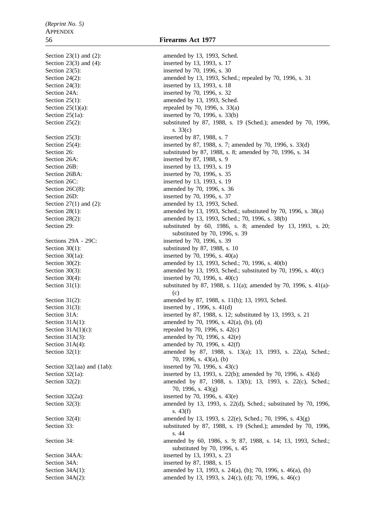Section 34A(2): amended by 13, 1993, s. 24(c), (d); 70, 1996, s. 46(c)

Section 23(1) and (2): amended by 13, 1993, Sched. Section 23(3) and (4): inserted by 13, 1993, s. 17 Section 23(5): inserted by 70, 1996, s. 30 Section 24(2): amended by 13, 1993, Sched.; repealed by 70, 1996, s. 31 Section 24(3): inserted by 13, 1993, s. 18 Section 24A: inserted by 70, 1996, s. 32 Section 25(1): amended by 13, 1993, Sched. Section  $25(1)(a)$ : repealed by 70, 1996, s. 33(a) Section 25(1a): inserted by 70, 1996, s. 33(b) Section 25(2): substituted by 87, 1988, s. 19 (Sched.); amended by 70, 1996, s. 33(c) Section 25(3): inserted by 87, 1988, s. 7 Section 25(4): inserted by 87, 1988, s. 7; amended by 70, 1996, s. 33(d) Section 26: substituted by 87, 1988, s. 8; amended by 70, 1996, s. 34 Section 26A: inserted by 87, 1988, s. 9 Section 26B: inserted by 13, 1993, s. 19 Section 26BA: inserted by 70, 1996, s. 35 Section 26C: inserted by 13, 1993, s. 19 Section 26C(8): amended by 70, 1996, s. 36 Section 26D: inserted by 70, 1996, s. 37 Section 27(1) and (2): amended by 13, 1993, Sched. Section 28(1): amended by 13, 1993, Sched.; substituted by 70, 1996, s. 38(a) Section 28(2): amended by 13, 1993, Sched.; 70, 1996, s. 38(b) Section 29: Section 29: substituted by 60, 1986, s. 8; amended by 13, 1993, s. 20; substituted by 70, 1996, s. 39 Sections 29A - 29C: inserted by 70, 1996, s. 39 Section 30(1): substituted by 87, 1988, s. 10 Section 30(1a): inserted by 70, 1996, s.  $40(a)$ Section 30(2): amended by 13, 1993, Sched.; 70, 1996, s. 40(b) Section 30(3): amended by 13, 1993, Sched.; substituted by 70, 1996, s. 40(c) Section 30(4): inserted by 70, 1996, s. 40(c) Section 31(1): substituted by 87, 1988, s. 11(a); amended by 70, 1996, s. 41(a)-(c) Section 31(2): amended by 87, 1988, s. 11(b); 13, 1993, Sched. Section 31(3): inserted by , 1996, s.  $41(d)$ Section 31A: inserted by 87, 1988, s. 12; substituted by 13, 1993, s. 21 Section 31A(1): amended by 70, 1996, s. 42(a), (b), (d) Section  $31A(1)(c)$ : repealed by 70, 1996, s. 42(c) Section 31A(3): amended by 70, 1996, s. 42(e) Section 31A(4): amended by 70, 1996, s. 42(f) Section 32(1): amended by 87, 1988, s. 13(a); 13, 1993, s. 22(a), Sched.; 70, 1996, s. 43(a), (b) Section  $32(1aa)$  and  $(1ab)$ : inserted by 70, 1996, s.  $43(c)$ Section 32(1a): inserted by 13, 1993, s. 22(b); amended by 70, 1996, s. 43(d) Section 32(2): amended by 87, 1988, s. 13(b); 13, 1993, s. 22(c), Sched.; 70, 1996, s. 43(g) Section 32(2a): inserted by 70, 1996, s. 43(e) Section 32(3): amended by 13, 1993, s. 22(d), Sched.; substituted by 70, 1996, s. 43(f) Section 32(4): amended by 13, 1993, s. 22(e), Sched.; 70, 1996, s. 43(g) Section 33: substituted by 87, 1988, s. 19 (Sched.); amended by 70, 1996, s. 44 Section 34: **amended** by 60, 1986, s. 9; 87, 1988, s. 14; 13, 1993, Sched.; substituted by 70, 1996, s. 45 Section 34AA: inserted by 13, 1993, s. 23 Section 34A: inserted by 87, 1988, s. 15 Section 34A(1): amended by 13, 1993, s. 24(a), (b); 70, 1996, s. 46(a), (b)